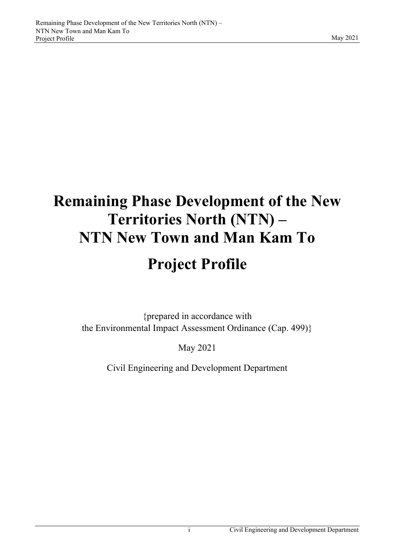# **Remaining Phase Development of the New Territories North (NTN) – NTN New Town and Man Kam To Project Profile**

{prepared in accordance with the Environmental Impact Assessment Ordinance (Cap. 499)}

May 2021

Civil Engineering and Development Department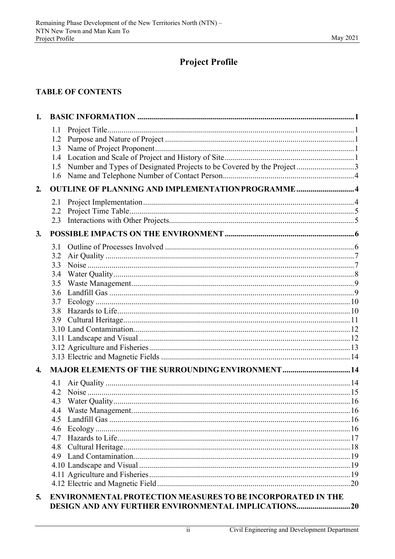# **Project Profile**

## **TABLE OF CONTENTS**

| 1.               |                                                                                                                 |  |  |  |
|------------------|-----------------------------------------------------------------------------------------------------------------|--|--|--|
|                  | 1.1<br>1.2<br>1.3<br>1.4<br>Number and Types of Designated Projects to be Covered by the Project3<br>1.5<br>1.6 |  |  |  |
| 2.               | <b>OUTLINE OF PLANNING AND IMPLEMENTATION PROGRAMME4</b>                                                        |  |  |  |
|                  | 2.1<br>2.2<br>2.3                                                                                               |  |  |  |
| 3.               |                                                                                                                 |  |  |  |
|                  | 3.1<br>3.2<br>3.3<br>3.4<br>3.5<br>3.6<br>3.7<br>3.8<br>3.9                                                     |  |  |  |
| $\overline{4}$ . | <b>MAJOR ELEMENTS OF THE SURROUNDING ENVIRONMENT  14</b>                                                        |  |  |  |
|                  | 4.1<br>4.2<br>4.3<br>4.4<br>4.5<br>4.6<br>4.7<br>4.8<br>4.9                                                     |  |  |  |
| 5 <sub>1</sub>   | ENVIRONMENTAL PROTECTION MEASURES TO BE INCORPORATED IN THE                                                     |  |  |  |

#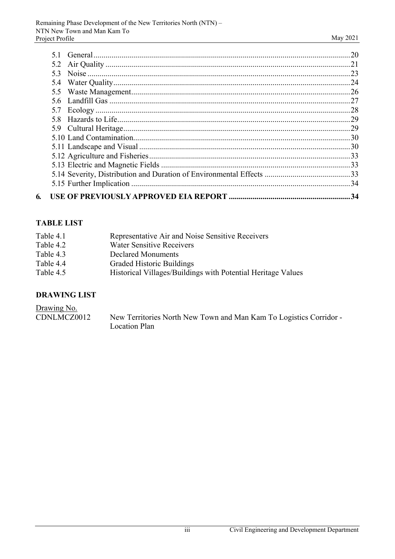|    | 53  |     |
|----|-----|-----|
|    |     |     |
|    |     |     |
|    | 5.6 |     |
|    |     |     |
|    |     |     |
|    |     |     |
|    |     |     |
|    |     |     |
|    |     |     |
|    |     |     |
|    |     |     |
|    |     |     |
| 6. |     | .34 |

# **TABLE LIST**

| Table 4.1 | Representative Air and Noise Sensitive Receivers             |
|-----------|--------------------------------------------------------------|
| Table 4.2 | <b>Water Sensitive Receivers</b>                             |
| Table 4.3 | Declared Monuments                                           |
| Table 4.4 | <b>Graded Historic Buildings</b>                             |
| Table 4.5 | Historical Villages/Buildings with Potential Heritage Values |
|           |                                                              |

# **DRAWING LIST**

| Drawing No. |                                                                    |
|-------------|--------------------------------------------------------------------|
| CDNLMCZ0012 | New Territories North New Town and Man Kam To Logistics Corridor - |
|             | Location Plan                                                      |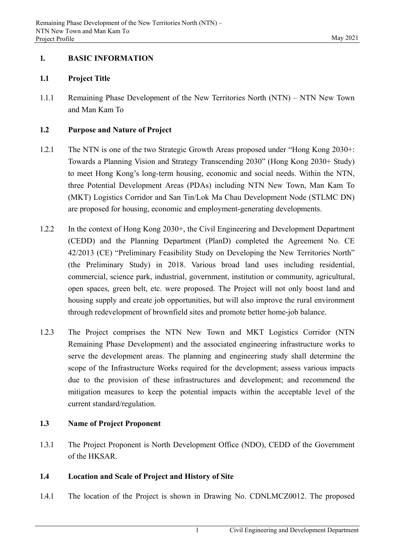## **1. BASIC INFORMATION**

## **1.1 Project Title**

1.1.1 Remaining Phase Development of the New Territories North (NTN) – NTN New Town and Man Kam To

## **1.2 Purpose and Nature of Project**

- 1.2.1 The NTN is one of the two Strategic Growth Areas proposed under "Hong Kong 2030+: Towards a Planning Vision and Strategy Transcending 2030" (Hong Kong 2030+ Study) to meet Hong Kong's long-term housing, economic and social needs. Within the NTN, three Potential Development Areas (PDAs) including NTN New Town, Man Kam To (MKT) Logistics Corridor and San Tin/Lok Ma Chau Development Node (STLMC DN) are proposed for housing, economic and employment-generating developments.
- 1.2.2 In the context of Hong Kong 2030+, the Civil Engineering and Development Department (CEDD) and the Planning Department (PlanD) completed the Agreement No. CE 42/2013 (CE) "Preliminary Feasibility Study on Developing the New Territories North" (the Preliminary Study) in 2018. Various broad land uses including residential, commercial, science park, industrial, government, institution or community, agricultural, open spaces, green belt, etc. were proposed. The Project will not only boost land and housing supply and create job opportunities, but will also improve the rural environment through redevelopment of brownfield sites and promote better home-job balance.
- 1.2.3 The Project comprises the NTN New Town and MKT Logistics Corridor (NTN Remaining Phase Development) and the associated engineering infrastructure works to serve the development areas. The planning and engineering study shall determine the scope of the Infrastructure Works required for the development; assess various impacts due to the provision of these infrastructures and development; and recommend the mitigation measures to keep the potential impacts within the acceptable level of the current standard/regulation.

## **1.3 Name of Project Proponent**

1.3.1 The Project Proponent is North Development Office (NDO), CEDD of the Government of the HKSAR.

## **1.4 Location and Scale of Project and History of Site**

1.4.1 The location of the Project is shown in Drawing No. CDNLMCZ0012. The proposed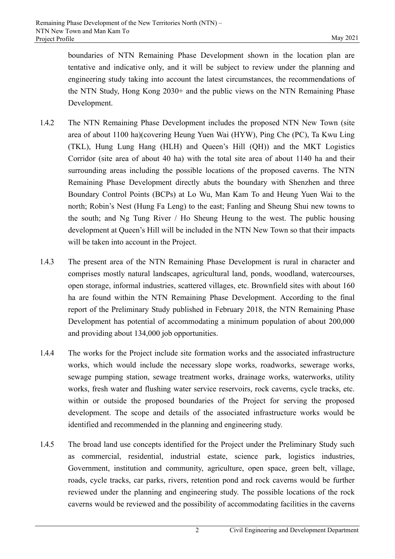boundaries of NTN Remaining Phase Development shown in the location plan are tentative and indicative only, and it will be subject to review under the planning and engineering study taking into account the latest circumstances, the recommendations of the NTN Study, Hong Kong 2030+ and the public views on the NTN Remaining Phase Development.

- 1.4.2 The NTN Remaining Phase Development includes the proposed NTN New Town (site area of about 1100 ha)(covering Heung Yuen Wai (HYW), Ping Che (PC), Ta Kwu Ling (TKL), Hung Lung Hang (HLH) and Queen's Hill (QH)) and the MKT Logistics Corridor (site area of about 40 ha) with the total site area of about 1140 ha and their surrounding areas including the possible locations of the proposed caverns. The NTN Remaining Phase Development directly abuts the boundary with Shenzhen and three Boundary Control Points (BCPs) at Lo Wu, Man Kam To and Heung Yuen Wai to the north; Robin's Nest (Hung Fa Leng) to the east; Fanling and Sheung Shui new towns to the south; and Ng Tung River / Ho Sheung Heung to the west. The public housing development at Queen's Hill will be included in the NTN New Town so that their impacts will be taken into account in the Project.
- 1.4.3 The present area of the NTN Remaining Phase Development is rural in character and comprises mostly natural landscapes, agricultural land, ponds, woodland, watercourses, open storage, informal industries, scattered villages, etc. Brownfield sites with about 160 ha are found within the NTN Remaining Phase Development. According to the final report of the Preliminary Study published in February 2018, the NTN Remaining Phase Development has potential of accommodating a minimum population of about 200,000 and providing about 134,000 job opportunities.
- 1.4.4 The works for the Project include site formation works and the associated infrastructure works, which would include the necessary slope works, roadworks, sewerage works, sewage pumping station, sewage treatment works, drainage works, waterworks, utility works, fresh water and flushing water service reservoirs, rock caverns, cycle tracks, etc. within or outside the proposed boundaries of the Project for serving the proposed development. The scope and details of the associated infrastructure works would be identified and recommended in the planning and engineering study.
- 1.4.5 The broad land use concepts identified for the Project under the Preliminary Study such as commercial, residential, industrial estate, science park, logistics industries, Government, institution and community, agriculture, open space, green belt, village, roads, cycle tracks, car parks, rivers, retention pond and rock caverns would be further reviewed under the planning and engineering study. The possible locations of the rock caverns would be reviewed and the possibility of accommodating facilities in the caverns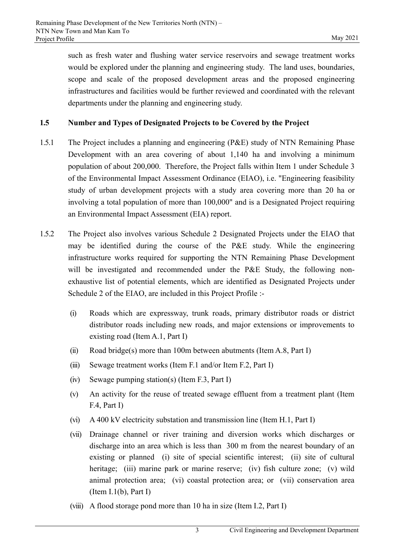such as fresh water and flushing water service reservoirs and sewage treatment works would be explored under the planning and engineering study. The land uses, boundaries, scope and scale of the proposed development areas and the proposed engineering infrastructures and facilities would be further reviewed and coordinated with the relevant departments under the planning and engineering study.

## **1.5 Number and Types of Designated Projects to be Covered by the Project**

- 1.5.1 The Project includes a planning and engineering (P&E) study of NTN Remaining Phase Development with an area covering of about 1,140 ha and involving a minimum population of about 200,000. Therefore, the Project falls within Item 1 under Schedule 3 of the Environmental Impact Assessment Ordinance (EIAO), i.e. "Engineering feasibility study of urban development projects with a study area covering more than 20 ha or involving a total population of more than 100,000" and is a Designated Project requiring an Environmental Impact Assessment (EIA) report.
- 1.5.2 The Project also involves various Schedule 2 Designated Projects under the EIAO that may be identified during the course of the P&E study. While the engineering infrastructure works required for supporting the NTN Remaining Phase Development will be investigated and recommended under the P&E Study, the following nonexhaustive list of potential elements, which are identified as Designated Projects under Schedule 2 of the EIAO, are included in this Project Profile :-
	- (i) Roads which are expressway, trunk roads, primary distributor roads or district distributor roads including new roads, and major extensions or improvements to existing road (Item A.1, Part I)
	- (ii) Road bridge(s) more than 100m between abutments (Item A.8, Part I)
	- (iii) Sewage treatment works (Item F.1 and/or Item F.2, Part I)
	- (iv) Sewage pumping station(s) (Item F.3, Part I)
	- (v) An activity for the reuse of treated sewage effluent from a treatment plant (Item F.4, Part I)
	- (vi) A 400 kV electricity substation and transmission line (Item H.1, Part I)
	- (vii) Drainage channel or river training and diversion works which discharges or discharge into an area which is less than 300 m from the nearest boundary of an existing or planned (i) site of special scientific interest; (ii) site of cultural heritage; (iii) marine park or marine reserve; (iv) fish culture zone; (v) wild animal protection area; (vi) coastal protection area; or (vii) conservation area (Item I.1(b), Part I)
	- (viii) A flood storage pond more than 10 ha in size (Item I.2, Part I)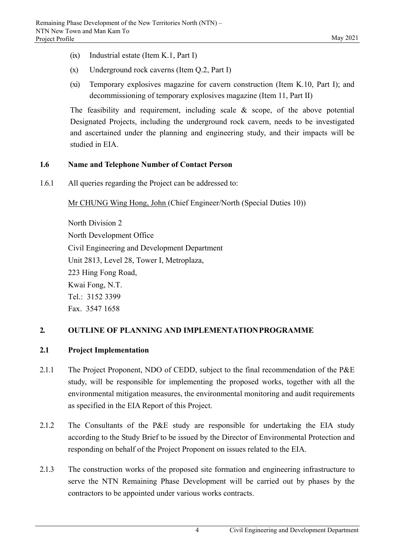- (ix) Industrial estate (Item K.1, Part I)
- (x) Underground rock caverns (Item Q.2, Part I)
- (xi) Temporary explosives magazine for cavern construction (Item K.10, Part I); and decommissioning of temporary explosives magazine (Item 11, Part II)

The feasibility and requirement, including scale & scope, of the above potential Designated Projects, including the underground rock cavern, needs to be investigated and ascertained under the planning and engineering study, and their impacts will be studied in EIA.

## **1.6 Name and Telephone Number of Contact Person**

1.6.1 All queries regarding the Project can be addressed to:

Mr CHUNG Wing Hong, John (Chief Engineer/North (Special Duties 10))

North Division 2 North Development Office Civil Engineering and Development Department Unit 2813, Level 28, Tower I, Metroplaza, 223 Hing Fong Road, Kwai Fong, N.T. Tel.: 3152 3399 Fax. 3547 1658

## **2. OUTLINE OF PLANNING AND IMPLEMENTATION PROGRAMME**

## **2.1 Project Implementation**

- 2.1.1 The Project Proponent, NDO of CEDD, subject to the final recommendation of the P&E study, will be responsible for implementing the proposed works, together with all the environmental mitigation measures, the environmental monitoring and audit requirements as specified in the EIA Report of this Project.
- 2.1.2 The Consultants of the P&E study are responsible for undertaking the EIA study according to the Study Brief to be issued by the Director of Environmental Protection and responding on behalf of the Project Proponent on issues related to the EIA.
- 2.1.3 The construction works of the proposed site formation and engineering infrastructure to serve the NTN Remaining Phase Development will be carried out by phases by the contractors to be appointed under various works contracts.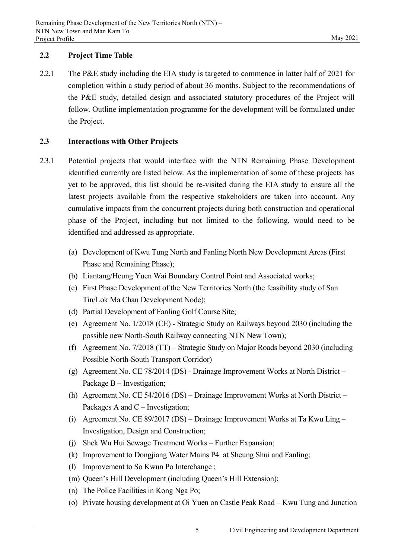## **2.2 Project Time Table**

2.2.1 The P&E study including the EIA study is targeted to commence in latter half of 2021 for completion within a study period of about 36 months. Subject to the recommendations of the P&E study, detailed design and associated statutory procedures of the Project will follow. Outline implementation programme for the development will be formulated under the Project.

## **2.3 Interactions with Other Projects**

- 2.3.1 Potential projects that would interface with the NTN Remaining Phase Development identified currently are listed below. As the implementation of some of these projects has yet to be approved, this list should be re-visited during the EIA study to ensure all the latest projects available from the respective stakeholders are taken into account. Any cumulative impacts from the concurrent projects during both construction and operational phase of the Project, including but not limited to the following, would need to be identified and addressed as appropriate.
	- (a) Development of Kwu Tung North and Fanling North New Development Areas (First Phase and Remaining Phase);
	- (b) Liantang/Heung Yuen Wai Boundary Control Point and Associated works;
	- (c) First Phase Development of the New Territories North (the feasibility study of San Tin/Lok Ma Chau Development Node);
	- (d) Partial Development of Fanling Golf Course Site;
	- (e) Agreement No. 1/2018 (CE) Strategic Study on Railways beyond 2030 (including the possible new North-South Railway connecting NTN New Town);
	- (f) Agreement No. 7/2018 (TT) Strategic Study on Major Roads beyond 2030 (including Possible North-South Transport Corridor)
	- (g) Agreement No. CE 78/2014 (DS) Drainage Improvement Works at North District Package B – Investigation;
	- (h) Agreement No. CE 54/2016 (DS) Drainage Improvement Works at North District Packages A and C – Investigation;
	- (i) Agreement No. CE 89/2017 (DS) Drainage Improvement Works at Ta Kwu Ling Investigation, Design and Construction;
	- (j) Shek Wu Hui Sewage Treatment Works Further Expansion;
	- (k) Improvement to Dongjiang Water Mains P4 at Sheung Shui and Fanling;
	- (l) Improvement to So Kwun Po Interchange ;
	- (m) Queen's Hill Development (including Queen's Hill Extension);
	- (n) The Police Facilities in Kong Nga Po;
	- (o) Private housing development at Oi Yuen on Castle Peak Road Kwu Tung and Junction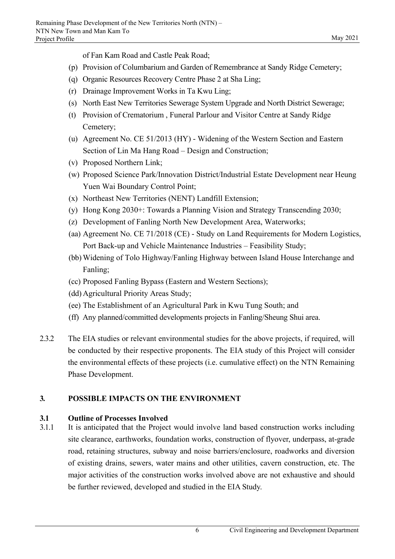of Fan Kam Road and Castle Peak Road;

- (p) Provision of Columbarium and Garden of Remembrance at Sandy Ridge Cemetery;
- (q) Organic Resources Recovery Centre Phase 2 at Sha Ling;
- (r) Drainage Improvement Works in Ta Kwu Ling;
- (s) North East New Territories Sewerage System Upgrade and North District Sewerage;
- (t) Provision of Crematorium , Funeral Parlour and Visitor Centre at Sandy Ridge Cemetery;
- (u) Agreement No. CE 51/2013 (HY) Widening of the Western Section and Eastern Section of Lin Ma Hang Road – Design and Construction;
- (v) Proposed Northern Link;
- (w) Proposed Science Park/Innovation District/Industrial Estate Development near Heung Yuen Wai Boundary Control Point;
- (x) Northeast New Territories (NENT) Landfill Extension;
- (y) Hong Kong 2030+: Towards a Planning Vision and Strategy Transcending 2030;
- (z) Development of Fanling North New Development Area, Waterworks;
- (aa) Agreement No. CE 71/2018 (CE) Study on Land Requirements for Modern Logistics, Port Back-up and Vehicle Maintenance Industries – Feasibility Study;
- (bb) Widening of Tolo Highway/Fanling Highway between Island House Interchange and Fanling;
- (cc) Proposed Fanling Bypass (Eastern and Western Sections);
- (dd) Agricultural Priority Areas Study;
- (ee) The Establishment of an Agricultural Park in Kwu Tung South; and
- (ff) Any planned/committed developments projects in Fanling/Sheung Shui area.
- 2.3.2 The EIA studies or relevant environmental studies for the above projects, if required, will be conducted by their respective proponents. The EIA study of this Project will consider the environmental effects of these projects (i.e. cumulative effect) on the NTN Remaining Phase Development.

# **3. POSSIBLE IMPACTS ON THE ENVIRONMENT**

# **3.1 Outline of Processes Involved**

3.1.1 It is anticipated that the Project would involve land based construction works including site clearance, earthworks, foundation works, construction of flyover, underpass, at-grade road, retaining structures, subway and noise barriers/enclosure, roadworks and diversion of existing drains, sewers, water mains and other utilities, cavern construction, etc. The major activities of the construction works involved above are not exhaustive and should be further reviewed, developed and studied in the EIA Study.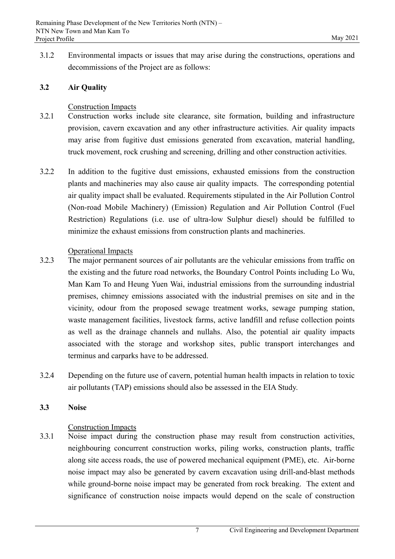3.1.2 Environmental impacts or issues that may arise during the constructions, operations and decommissions of the Project are as follows:

#### **3.2 Air Quality**

#### Construction Impacts

- 3.2.1 Construction works include site clearance, site formation, building and infrastructure provision, cavern excavation and any other infrastructure activities. Air quality impacts may arise from fugitive dust emissions generated from excavation, material handling, truck movement, rock crushing and screening, drilling and other construction activities.
- 3.2.2 In addition to the fugitive dust emissions, exhausted emissions from the construction plants and machineries may also cause air quality impacts. The corresponding potential air quality impact shall be evaluated. Requirements stipulated in the Air Pollution Control (Non-road Mobile Machinery) (Emission) Regulation and Air Pollution Control (Fuel Restriction) Regulations (i.e. use of ultra-low Sulphur diesel) should be fulfilled to minimize the exhaust emissions from construction plants and machineries.

#### Operational Impacts

- 3.2.3 The major permanent sources of air pollutants are the vehicular emissions from traffic on the existing and the future road networks, the Boundary Control Points including Lo Wu, Man Kam To and Heung Yuen Wai, industrial emissions from the surrounding industrial premises, chimney emissions associated with the industrial premises on site and in the vicinity, odour from the proposed sewage treatment works, sewage pumping station, waste management facilities, livestock farms, active landfill and refuse collection points as well as the drainage channels and nullahs. Also, the potential air quality impacts associated with the storage and workshop sites, public transport interchanges and terminus and carparks have to be addressed.
- 3.2.4 Depending on the future use of cavern, potential human health impacts in relation to toxic air pollutants (TAP) emissions should also be assessed in the EIA Study.

#### **3.3 Noise**

#### Construction Impacts

3.3.1 Noise impact during the construction phase may result from construction activities, neighbouring concurrent construction works, piling works, construction plants, traffic along site access roads, the use of powered mechanical equipment (PME), etc. Air-borne noise impact may also be generated by cavern excavation using drill-and-blast methods while ground-borne noise impact may be generated from rock breaking. The extent and significance of construction noise impacts would depend on the scale of construction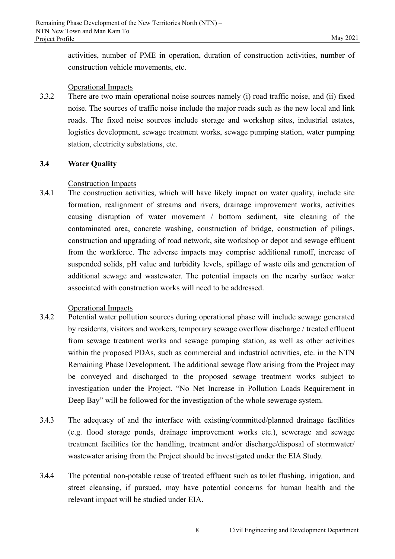activities, number of PME in operation, duration of construction activities, number of construction vehicle movements, etc.

#### Operational Impacts

3.3.2 There are two main operational noise sources namely (i) road traffic noise, and (ii) fixed noise. The sources of traffic noise include the major roads such as the new local and link roads. The fixed noise sources include storage and workshop sites, industrial estates, logistics development, sewage treatment works, sewage pumping station, water pumping station, electricity substations, etc.

#### **3.4 Water Quality**

#### Construction Impacts

3.4.1 The construction activities, which will have likely impact on water quality, include site formation, realignment of streams and rivers, drainage improvement works, activities causing disruption of water movement / bottom sediment, site cleaning of the contaminated area, concrete washing, construction of bridge, construction of pilings, construction and upgrading of road network, site workshop or depot and sewage effluent from the workforce. The adverse impacts may comprise additional runoff, increase of suspended solids, pH value and turbidity levels, spillage of waste oils and generation of additional sewage and wastewater. The potential impacts on the nearby surface water associated with construction works will need to be addressed.

#### Operational Impacts

- 3.4.2 Potential water pollution sources during operational phase will include sewage generated by residents, visitors and workers, temporary sewage overflow discharge / treated effluent from sewage treatment works and sewage pumping station, as well as other activities within the proposed PDAs, such as commercial and industrial activities, etc. in the NTN Remaining Phase Development. The additional sewage flow arising from the Project may be conveyed and discharged to the proposed sewage treatment works subject to investigation under the Project. "No Net Increase in Pollution Loads Requirement in Deep Bay" will be followed for the investigation of the whole sewerage system.
- 3.4.3 The adequacy of and the interface with existing/committed/planned drainage facilities (e.g. flood storage ponds, drainage improvement works etc.), sewerage and sewage treatment facilities for the handling, treatment and/or discharge/disposal of stormwater/ wastewater arising from the Project should be investigated under the EIA Study.
- 3.4.4 The potential non-potable reuse of treated effluent such as toilet flushing, irrigation, and street cleansing, if pursued, may have potential concerns for human health and the relevant impact will be studied under EIA.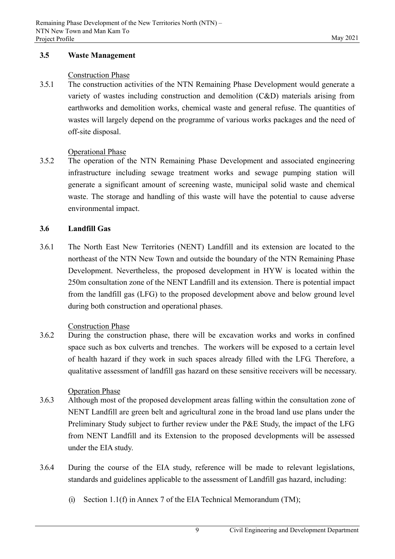#### **3.5 Waste Management**

#### Construction Phase

3.5.1 The construction activities of the NTN Remaining Phase Development would generate a variety of wastes including construction and demolition (C&D) materials arising from earthworks and demolition works, chemical waste and general refuse. The quantities of wastes will largely depend on the programme of various works packages and the need of off-site disposal.

## Operational Phase

3.5.2 The operation of the NTN Remaining Phase Development and associated engineering infrastructure including sewage treatment works and sewage pumping station will generate a significant amount of screening waste, municipal solid waste and chemical waste. The storage and handling of this waste will have the potential to cause adverse environmental impact.

## **3.6 Landfill Gas**

3.6.1 The North East New Territories (NENT) Landfill and its extension are located to the northeast of the NTN New Town and outside the boundary of the NTN Remaining Phase Development. Nevertheless, the proposed development in HYW is located within the 250m consultation zone of the NENT Landfill and its extension. There is potential impact from the landfill gas (LFG) to the proposed development above and below ground level during both construction and operational phases.

#### Construction Phase

3.6.2 During the construction phase, there will be excavation works and works in confined space such as box culverts and trenches. The workers will be exposed to a certain level of health hazard if they work in such spaces already filled with the LFG. Therefore, a qualitative assessment of landfill gas hazard on these sensitive receivers will be necessary.

#### Operation Phase

- 3.6.3 Although most of the proposed development areas falling within the consultation zone of NENT Landfill are green belt and agricultural zone in the broad land use plans under the Preliminary Study subject to further review under the P&E Study, the impact of the LFG from NENT Landfill and its Extension to the proposed developments will be assessed under the EIA study.
- 3.6.4 During the course of the EIA study, reference will be made to relevant legislations, standards and guidelines applicable to the assessment of Landfill gas hazard, including:
	- (i) Section 1.1(f) in Annex 7 of the EIA Technical Memorandum (TM);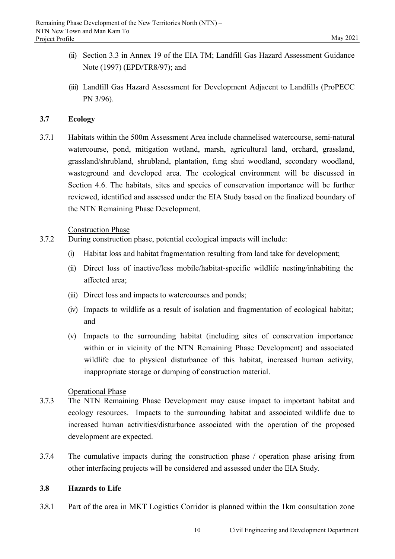- (ii) Section 3.3 in Annex 19 of the EIA TM; Landfill Gas Hazard Assessment Guidance Note (1997) (EPD/TR8/97); and
- (iii) Landfill Gas Hazard Assessment for Development Adjacent to Landfills (ProPECC PN 3/96).

#### **3.7 Ecology**

3.7.1 Habitats within the 500m Assessment Area include channelised watercourse, semi-natural watercourse, pond, mitigation wetland, marsh, agricultural land, orchard, grassland, grassland/shrubland, shrubland, plantation, fung shui woodland, secondary woodland, wasteground and developed area. The ecological environment will be discussed in Section 4.6. The habitats, sites and species of conservation importance will be further reviewed, identified and assessed under the EIA Study based on the finalized boundary of the NTN Remaining Phase Development.

#### Construction Phase

- 3.7.2 During construction phase, potential ecological impacts will include:
	- (i) Habitat loss and habitat fragmentation resulting from land take for development;
	- (ii) Direct loss of inactive/less mobile/habitat-specific wildlife nesting/inhabiting the affected area;
	- (iii) Direct loss and impacts to watercourses and ponds;
	- (iv) Impacts to wildlife as a result of isolation and fragmentation of ecological habitat; and
	- (v) Impacts to the surrounding habitat (including sites of conservation importance within or in vicinity of the NTN Remaining Phase Development) and associated wildlife due to physical disturbance of this habitat, increased human activity, inappropriate storage or dumping of construction material.

#### Operational Phase

- 3.7.3 The NTN Remaining Phase Development may cause impact to important habitat and ecology resources. Impacts to the surrounding habitat and associated wildlife due to increased human activities/disturbance associated with the operation of the proposed development are expected.
- 3.7.4 The cumulative impacts during the construction phase / operation phase arising from other interfacing projects will be considered and assessed under the EIA Study.

#### **3.8 Hazards to Life**

3.8.1 Part of the area in MKT Logistics Corridor is planned within the 1km consultation zone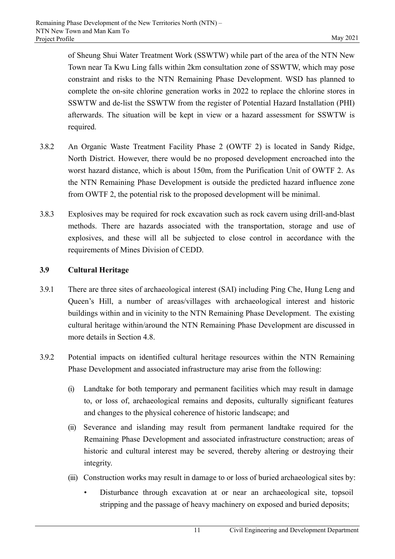of Sheung Shui Water Treatment Work (SSWTW) while part of the area of the NTN New Town near Ta Kwu Ling falls within 2km consultation zone of SSWTW, which may pose constraint and risks to the NTN Remaining Phase Development. WSD has planned to complete the on-site chlorine generation works in 2022 to replace the chlorine stores in SSWTW and de-list the SSWTW from the register of Potential Hazard Installation (PHI) afterwards. The situation will be kept in view or a hazard assessment for SSWTW is required.

- 3.8.2 An Organic Waste Treatment Facility Phase 2 (OWTF 2) is located in Sandy Ridge, North District. However, there would be no proposed development encroached into the worst hazard distance, which is about 150m, from the Purification Unit of OWTF 2. As the NTN Remaining Phase Development is outside the predicted hazard influence zone from OWTF 2, the potential risk to the proposed development will be minimal.
- 3.8.3 Explosives may be required for rock excavation such as rock cavern using drill-and-blast methods. There are hazards associated with the transportation, storage and use of explosives, and these will all be subjected to close control in accordance with the requirements of Mines Division of CEDD.

## **3.9 Cultural Heritage**

- 3.9.1 There are three sites of archaeological interest (SAI) including Ping Che, Hung Leng and Queen's Hill, a number of areas/villages with archaeological interest and historic buildings within and in vicinity to the NTN Remaining Phase Development. The existing cultural heritage within/around the NTN Remaining Phase Development are discussed in more details in Section 4.8.
- 3.9.2 Potential impacts on identified cultural heritage resources within the NTN Remaining Phase Development and associated infrastructure may arise from the following:
	- (i) Landtake for both temporary and permanent facilities which may result in damage to, or loss of, archaeological remains and deposits, culturally significant features and changes to the physical coherence of historic landscape; and
	- (ii) Severance and islanding may result from permanent landtake required for the Remaining Phase Development and associated infrastructure construction; areas of historic and cultural interest may be severed, thereby altering or destroying their integrity.
	- (iii) Construction works may result in damage to or loss of buried archaeological sites by:
		- Disturbance through excavation at or near an archaeological site, topsoil stripping and the passage of heavy machinery on exposed and buried deposits;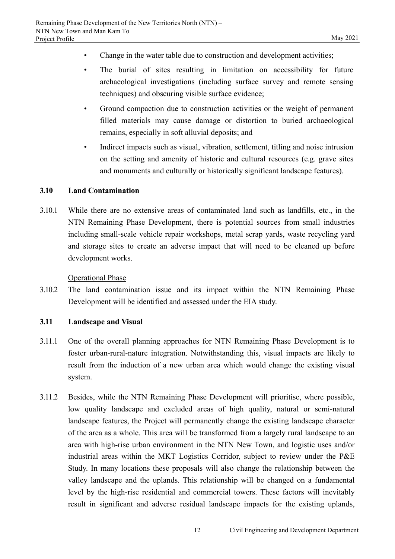- Change in the water table due to construction and development activities;
- The burial of sites resulting in limitation on accessibility for future archaeological investigations (including surface survey and remote sensing techniques) and obscuring visible surface evidence;
- Ground compaction due to construction activities or the weight of permanent filled materials may cause damage or distortion to buried archaeological remains, especially in soft alluvial deposits; and
- Indirect impacts such as visual, vibration, settlement, titling and noise intrusion on the setting and amenity of historic and cultural resources (e.g. grave sites and monuments and culturally or historically significant landscape features).

## **3.10 Land Contamination**

3.10.1 While there are no extensive areas of contaminated land such as landfills, etc., in the NTN Remaining Phase Development, there is potential sources from small industries including small-scale vehicle repair workshops, metal scrap yards, waste recycling yard and storage sites to create an adverse impact that will need to be cleaned up before development works.

## Operational Phase

3.10.2 The land contamination issue and its impact within the NTN Remaining Phase Development will be identified and assessed under the EIA study.

## **3.11 Landscape and Visual**

- 3.11.1 One of the overall planning approaches for NTN Remaining Phase Development is to foster urban-rural-nature integration. Notwithstanding this, visual impacts are likely to result from the induction of a new urban area which would change the existing visual system.
- 3.11.2 Besides, while the NTN Remaining Phase Development will prioritise, where possible, low quality landscape and excluded areas of high quality, natural or semi-natural landscape features, the Project will permanently change the existing landscape character of the area as a whole. This area will be transformed from a largely rural landscape to an area with high-rise urban environment in the NTN New Town, and logistic uses and/or industrial areas within the MKT Logistics Corridor, subject to review under the P&E Study. In many locations these proposals will also change the relationship between the valley landscape and the uplands. This relationship will be changed on a fundamental level by the high-rise residential and commercial towers. These factors will inevitably result in significant and adverse residual landscape impacts for the existing uplands,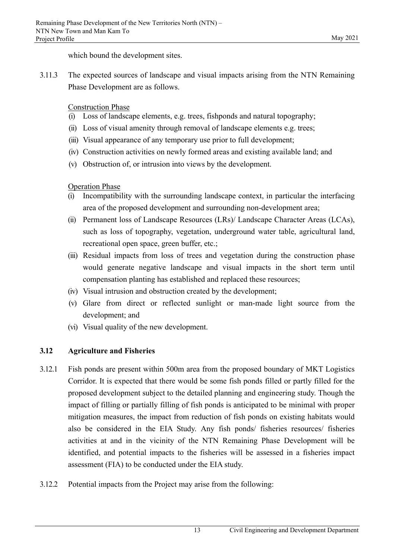which bound the development sites.

3.11.3 The expected sources of landscape and visual impacts arising from the NTN Remaining Phase Development are as follows.

Construction Phase

- (i) Loss of landscape elements, e.g. trees, fishponds and natural topography;
- (ii) Loss of visual amenity through removal of landscape elements e.g. trees;
- (iii) Visual appearance of any temporary use prior to full development;
- (iv) Construction activities on newly formed areas and existing available land; and
- (v) Obstruction of, or intrusion into views by the development.

Operation Phase

- (i) Incompatibility with the surrounding landscape context, in particular the interfacing area of the proposed development and surrounding non-development area;
- (ii) Permanent loss of Landscape Resources (LRs)/ Landscape Character Areas (LCAs), such as loss of topography, vegetation, underground water table, agricultural land, recreational open space, green buffer, etc.;
- (iii) Residual impacts from loss of trees and vegetation during the construction phase would generate negative landscape and visual impacts in the short term until compensation planting has established and replaced these resources;
- (iv) Visual intrusion and obstruction created by the development;
- (v) Glare from direct or reflected sunlight or man-made light source from the development; and
- (vi) Visual quality of the new development.

# **3.12 Agriculture and Fisheries**

- 3.12.1 Fish ponds are present within 500m area from the proposed boundary of MKT Logistics Corridor. It is expected that there would be some fish ponds filled or partly filled for the proposed development subject to the detailed planning and engineering study. Though the impact of filling or partially filling of fish ponds is anticipated to be minimal with proper mitigation measures, the impact from reduction of fish ponds on existing habitats would also be considered in the EIA Study. Any fish ponds/ fisheries resources/ fisheries activities at and in the vicinity of the NTN Remaining Phase Development will be identified, and potential impacts to the fisheries will be assessed in a fisheries impact assessment (FIA) to be conducted under the EIA study.
- 3.12.2 Potential impacts from the Project may arise from the following: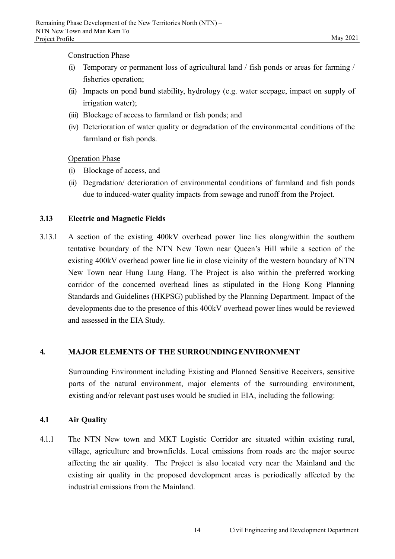#### Construction Phase

- (i) Temporary or permanent loss of agricultural land / fish ponds or areas for farming / fisheries operation;
- (ii) Impacts on pond bund stability, hydrology (e.g. water seepage, impact on supply of irrigation water);
- (iii) Blockage of access to farmland or fish ponds; and
- (iv) Deterioration of water quality or degradation of the environmental conditions of the farmland or fish ponds.

Operation Phase

- (i) Blockage of access, and
- (ii) Degradation/ deterioration of environmental conditions of farmland and fish ponds due to induced-water quality impacts from sewage and runoff from the Project.

## **3.13 Electric and Magnetic Fields**

3.13.1 A section of the existing 400kV overhead power line lies along/within the southern tentative boundary of the NTN New Town near Queen's Hill while a section of the existing 400kV overhead power line lie in close vicinity of the western boundary of NTN New Town near Hung Lung Hang. The Project is also within the preferred working corridor of the concerned overhead lines as stipulated in the Hong Kong Planning Standards and Guidelines (HKPSG) published by the Planning Department. Impact of the developments due to the presence of this 400kV overhead power lines would be reviewed and assessed in the EIA Study.

## **4. MAJOR ELEMENTS OF THE SURROUNDING ENVIRONMENT**

Surrounding Environment including Existing and Planned Sensitive Receivers, sensitive parts of the natural environment, major elements of the surrounding environment, existing and/or relevant past uses would be studied in EIA, including the following:

## **4.1 Air Quality**

4.1.1 The NTN New town and MKT Logistic Corridor are situated within existing rural, village, agriculture and brownfields. Local emissions from roads are the major source affecting the air quality. The Project is also located very near the Mainland and the existing air quality in the proposed development areas is periodically affected by the industrial emissions from the Mainland.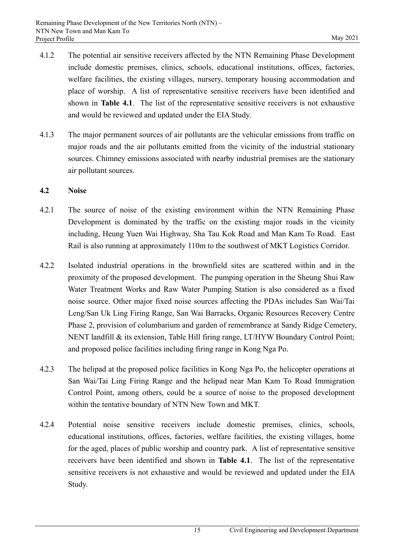- 4.1.2 The potential air sensitive receivers affected by the NTN Remaining Phase Development include domestic premises, clinics, schools, educational institutions, offices, factories, welfare facilities, the existing villages, nursery, temporary housing accommodation and place of worship. A list of representative sensitive receivers have been identified and shown in **Table 4.1**. The list of the representative sensitive receivers is not exhaustive and would be reviewed and updated under the EIA Study.
- 4.1.3 The major permanent sources of air pollutants are the vehicular emissions from traffic on major roads and the air pollutants emitted from the vicinity of the industrial stationary sources. Chimney emissions associated with nearby industrial premises are the stationary air pollutant sources.

#### **4.2 Noise**

- 4.2.1 The source of noise of the existing environment within the NTN Remaining Phase Development is dominated by the traffic on the existing major roads in the vicinity including, Heung Yuen Wai Highway, Sha Tau Kok Road and Man Kam To Road. East Rail is also running at approximately 110m to the southwest of MKT Logistics Corridor.
- 4.2.2 Isolated industrial operations in the brownfield sites are scattered within and in the proximity of the proposed development. The pumping operation in the Sheung Shui Raw Water Treatment Works and Raw Water Pumping Station is also considered as a fixed noise source. Other major fixed noise sources affecting the PDAs includes San Wai/Tai Leng/San Uk Ling Firing Range, San Wai Barracks, Organic Resources Recovery Centre Phase 2, provision of columbarium and garden of remembrance at Sandy Ridge Cemetery, NENT landfill & its extension, Table Hill firing range, LT/HYW Boundary Control Point; and proposed police facilities including firing range in Kong Nga Po.
- 4.2.3 The helipad at the proposed police facilities in Kong Nga Po, the helicopter operations at San Wai/Tai Ling Firing Range and the helipad near Man Kam To Road Immigration Control Point, among others, could be a source of noise to the proposed development within the tentative boundary of NTN New Town and MKT.
- 4.2.4 Potential noise sensitive receivers include domestic premises, clinics, schools, educational institutions, offices, factories, welfare facilities, the existing villages, home for the aged, places of public worship and country park. A list of representative sensitive receivers have been identified and shown in **Table 4.1**. The list of the representative sensitive receivers is not exhaustive and would be reviewed and updated under the EIA Study.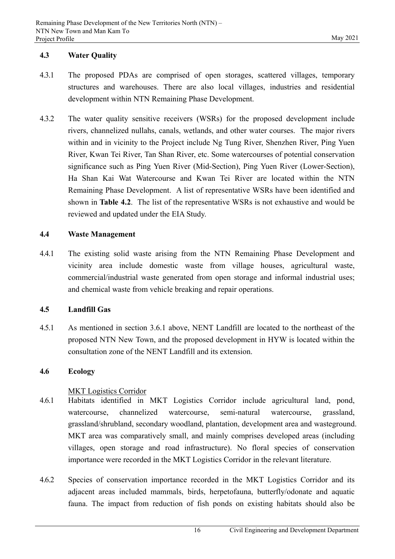## **4.3 Water Quality**

- 4.3.1 The proposed PDAs are comprised of open storages, scattered villages, temporary structures and warehouses. There are also local villages, industries and residential development within NTN Remaining Phase Development.
- 4.3.2 The water quality sensitive receivers (WSRs) for the proposed development include rivers, channelized nullahs, canals, wetlands, and other water courses. The major rivers within and in vicinity to the Project include Ng Tung River, Shenzhen River, Ping Yuen River, Kwan Tei River, Tan Shan River, etc. Some watercourses of potential conservation significance such as Ping Yuen River (Mid-Section), Ping Yuen River (Lower-Section), Ha Shan Kai Wat Watercourse and Kwan Tei River are located within the NTN Remaining Phase Development. A list of representative WSRs have been identified and shown in **Table 4.2**. The list of the representative WSRs is not exhaustive and would be reviewed and updated under the EIA Study.

## **4.4 Waste Management**

4.4.1 The existing solid waste arising from the NTN Remaining Phase Development and vicinity area include domestic waste from village houses, agricultural waste, commercial/industrial waste generated from open storage and informal industrial uses; and chemical waste from vehicle breaking and repair operations.

#### **4.5 Landfill Gas**

4.5.1 As mentioned in section 3.6.1 above, NENT Landfill are located to the northeast of the proposed NTN New Town, and the proposed development in HYW is located within the consultation zone of the NENT Landfill and its extension.

## **4.6 Ecology**

## MKT Logistics Corridor

- 4.6.1 Habitats identified in MKT Logistics Corridor include agricultural land, pond, watercourse, channelized watercourse, semi-natural watercourse, grassland, grassland/shrubland, secondary woodland, plantation, development area and wasteground. MKT area was comparatively small, and mainly comprises developed areas (including villages, open storage and road infrastructure). No floral species of conservation importance were recorded in the MKT Logistics Corridor in the relevant literature.
- 4.6.2 Species of conservation importance recorded in the MKT Logistics Corridor and its adjacent areas included mammals, birds, herpetofauna, butterfly/odonate and aquatic fauna. The impact from reduction of fish ponds on existing habitats should also be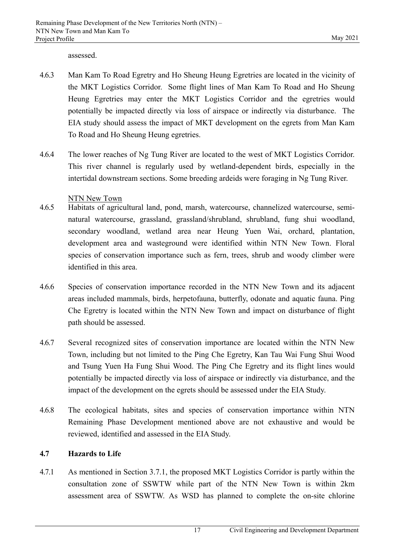assessed.

- 4.6.3 Man Kam To Road Egretry and Ho Sheung Heung Egretries are located in the vicinity of the MKT Logistics Corridor. Some flight lines of Man Kam To Road and Ho Sheung Heung Egretries may enter the MKT Logistics Corridor and the egretries would potentially be impacted directly via loss of airspace or indirectly via disturbance. The EIA study should assess the impact of MKT development on the egrets from Man Kam To Road and Ho Sheung Heung egretries.
- 4.6.4 The lower reaches of Ng Tung River are located to the west of MKT Logistics Corridor. This river channel is regularly used by wetland-dependent birds, especially in the intertidal downstream sections. Some breeding ardeids were foraging in Ng Tung River.

## NTN New Town

- 4.6.5 Habitats of agricultural land, pond, marsh, watercourse, channelized watercourse, seminatural watercourse, grassland, grassland/shrubland, shrubland, fung shui woodland, secondary woodland, wetland area near Heung Yuen Wai, orchard, plantation, development area and wasteground were identified within NTN New Town. Floral species of conservation importance such as fern, trees, shrub and woody climber were identified in this area.
- 4.6.6 Species of conservation importance recorded in the NTN New Town and its adjacent areas included mammals, birds, herpetofauna, butterfly, odonate and aquatic fauna. Ping Che Egretry is located within the NTN New Town and impact on disturbance of flight path should be assessed.
- 4.6.7 Several recognized sites of conservation importance are located within the NTN New Town, including but not limited to the Ping Che Egretry, Kan Tau Wai Fung Shui Wood and Tsung Yuen Ha Fung Shui Wood. The Ping Che Egretry and its flight lines would potentially be impacted directly via loss of airspace or indirectly via disturbance, and the impact of the development on the egrets should be assessed under the EIA Study.
- 4.6.8 The ecological habitats, sites and species of conservation importance within NTN Remaining Phase Development mentioned above are not exhaustive and would be reviewed, identified and assessed in the EIA Study.

#### **4.7 Hazards to Life**

4.7.1 As mentioned in Section 3.7.1, the proposed MKT Logistics Corridor is partly within the consultation zone of SSWTW while part of the NTN New Town is within 2km assessment area of SSWTW. As WSD has planned to complete the on-site chlorine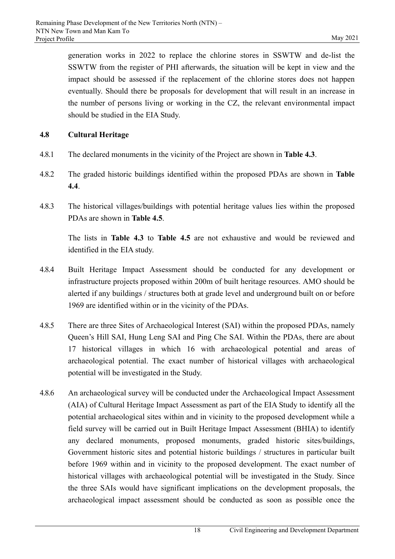generation works in 2022 to replace the chlorine stores in SSWTW and de-list the SSWTW from the register of PHI afterwards, the situation will be kept in view and the impact should be assessed if the replacement of the chlorine stores does not happen eventually. Should there be proposals for development that will result in an increase in the number of persons living or working in the CZ, the relevant environmental impact should be studied in the EIA Study.

## **4.8 Cultural Heritage**

- 4.8.1 The declared monuments in the vicinity of the Project are shown in **Table 4.3**.
- 4.8.2 The graded historic buildings identified within the proposed PDAs are shown in **Table 4.4**.
- 4.8.3 The historical villages/buildings with potential heritage values lies within the proposed PDAs are shown in **Table 4.5**.

The lists in **Table 4.3** to **Table 4.5** are not exhaustive and would be reviewed and identified in the EIA study.

- 4.8.4 Built Heritage Impact Assessment should be conducted for any development or infrastructure projects proposed within 200m of built heritage resources. AMO should be alerted if any buildings / structures both at grade level and underground built on or before 1969 are identified within or in the vicinity of the PDAs.
- 4.8.5 There are three Sites of Archaeological Interest (SAI) within the proposed PDAs, namely Queen's Hill SAI, Hung Leng SAI and Ping Che SAI. Within the PDAs, there are about 17 historical villages in which 16 with archaeological potential and areas of archaeological potential. The exact number of historical villages with archaeological potential will be investigated in the Study.
- 4.8.6 An archaeological survey will be conducted under the Archaeological Impact Assessment (AIA) of Cultural Heritage Impact Assessment as part of the EIA Study to identify all the potential archaeological sites within and in vicinity to the proposed development while a field survey will be carried out in Built Heritage Impact Assessment (BHIA) to identify any declared monuments, proposed monuments, graded historic sites/buildings, Government historic sites and potential historic buildings / structures in particular built before 1969 within and in vicinity to the proposed development. The exact number of historical villages with archaeological potential will be investigated in the Study. Since the three SAIs would have significant implications on the development proposals, the archaeological impact assessment should be conducted as soon as possible once the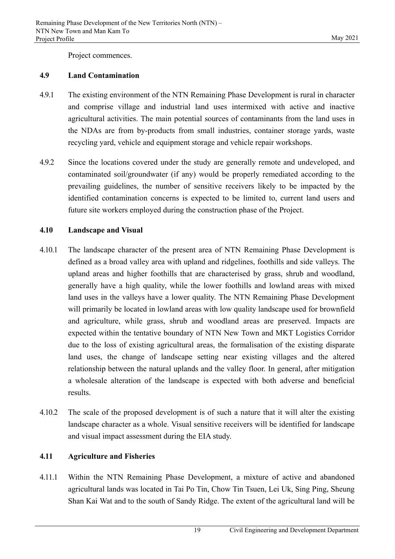Project commences.

#### **4.9 Land Contamination**

- 4.9.1 The existing environment of the NTN Remaining Phase Development is rural in character and comprise village and industrial land uses intermixed with active and inactive agricultural activities. The main potential sources of contaminants from the land uses in the NDAs are from by-products from small industries, container storage yards, waste recycling yard, vehicle and equipment storage and vehicle repair workshops.
- 4.9.2 Since the locations covered under the study are generally remote and undeveloped, and contaminated soil/groundwater (if any) would be properly remediated according to the prevailing guidelines, the number of sensitive receivers likely to be impacted by the identified contamination concerns is expected to be limited to, current land users and future site workers employed during the construction phase of the Project.

## **4.10 Landscape and Visual**

- 4.10.1 The landscape character of the present area of NTN Remaining Phase Development is defined as a broad valley area with upland and ridgelines, foothills and side valleys. The upland areas and higher foothills that are characterised by grass, shrub and woodland, generally have a high quality, while the lower foothills and lowland areas with mixed land uses in the valleys have a lower quality. The NTN Remaining Phase Development will primarily be located in lowland areas with low quality landscape used for brownfield and agriculture, while grass, shrub and woodland areas are preserved. Impacts are expected within the tentative boundary of NTN New Town and MKT Logistics Corridor due to the loss of existing agricultural areas, the formalisation of the existing disparate land uses, the change of landscape setting near existing villages and the altered relationship between the natural uplands and the valley floor. In general, after mitigation a wholesale alteration of the landscape is expected with both adverse and beneficial results.
- 4.10.2 The scale of the proposed development is of such a nature that it will alter the existing landscape character as a whole. Visual sensitive receivers will be identified for landscape and visual impact assessment during the EIA study.

## **4.11 Agriculture and Fisheries**

4.11.1 Within the NTN Remaining Phase Development, a mixture of active and abandoned agricultural lands was located in Tai Po Tin, Chow Tin Tsuen, Lei Uk, Sing Ping, Sheung Shan Kai Wat and to the south of Sandy Ridge. The extent of the agricultural land will be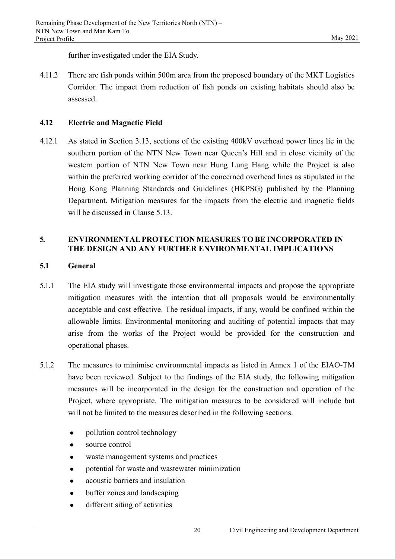further investigated under the EIA Study.

4.11.2 There are fish ponds within 500m area from the proposed boundary of the MKT Logistics Corridor. The impact from reduction of fish ponds on existing habitats should also be assessed.

## **4.12 Electric and Magnetic Field**

4.12.1 As stated in Section 3.13, sections of the existing 400kV overhead power lines lie in the southern portion of the NTN New Town near Queen's Hill and in close vicinity of the western portion of NTN New Town near Hung Lung Hang while the Project is also within the preferred working corridor of the concerned overhead lines as stipulated in the Hong Kong Planning Standards and Guidelines (HKPSG) published by the Planning Department. Mitigation measures for the impacts from the electric and magnetic fields will be discussed in Clause 5.13.

## **5. ENVIRONMENTAL PROTECTION MEASURES TO BE INCORPORATED IN THE DESIGN AND ANY FURTHER ENVIRONMENTAL IMPLICATIONS**

## **5.1 General**

- 5.1.1 The EIA study will investigate those environmental impacts and propose the appropriate mitigation measures with the intention that all proposals would be environmentally acceptable and cost effective. The residual impacts, if any, would be confined within the allowable limits. Environmental monitoring and auditing of potential impacts that may arise from the works of the Project would be provided for the construction and operational phases.
- 5.1.2 The measures to minimise environmental impacts as listed in Annex 1 of the EIAO-TM have been reviewed. Subject to the findings of the EIA study, the following mitigation measures will be incorporated in the design for the construction and operation of the Project, where appropriate. The mitigation measures to be considered will include but will not be limited to the measures described in the following sections.
	- pollution control technology
	- source control
	- waste management systems and practices
	- potential for waste and wastewater minimization
	- acoustic barriers and insulation
	- buffer zones and landscaping
	- different siting of activities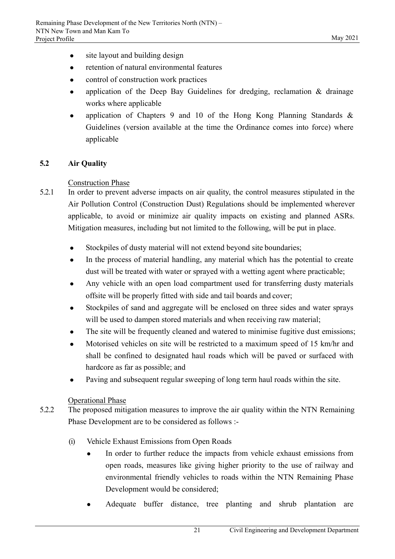- site layout and building design
- retention of natural environmental features
- control of construction work practices
- application of the Deep Bay Guidelines for dredging, reclamation & drainage works where applicable
- application of Chapters 9 and 10 of the Hong Kong Planning Standards & Guidelines (version available at the time the Ordinance comes into force) where applicable

## **5.2 Air Quality**

#### Construction Phase

- 5.2.1 In order to prevent adverse impacts on air quality, the control measures stipulated in the Air Pollution Control (Construction Dust) Regulations should be implemented wherever applicable, to avoid or minimize air quality impacts on existing and planned ASRs. Mitigation measures, including but not limited to the following, will be put in place.
	- Stockpiles of dusty material will not extend beyond site boundaries;
	- In the process of material handling, any material which has the potential to create dust will be treated with water or sprayed with a wetting agent where practicable;
	- Any vehicle with an open load compartment used for transferring dusty materials offsite will be properly fitted with side and tail boards and cover;
	- Stockpiles of sand and aggregate will be enclosed on three sides and water sprays will be used to dampen stored materials and when receiving raw material;
	- The site will be frequently cleaned and watered to minimise fugitive dust emissions;
	- Motorised vehicles on site will be restricted to a maximum speed of 15 km/hr and shall be confined to designated haul roads which will be paved or surfaced with hardcore as far as possible; and
	- Paving and subsequent regular sweeping of long term haul roads within the site.

#### Operational Phase

- 5.2.2 The proposed mitigation measures to improve the air quality within the NTN Remaining Phase Development are to be considered as follows :-
	- (i) Vehicle Exhaust Emissions from Open Roads
		- In order to further reduce the impacts from vehicle exhaust emissions from open roads, measures like giving higher priority to the use of railway and environmental friendly vehicles to roads within the NTN Remaining Phase Development would be considered;
		- Adequate buffer distance, tree planting and shrub plantation are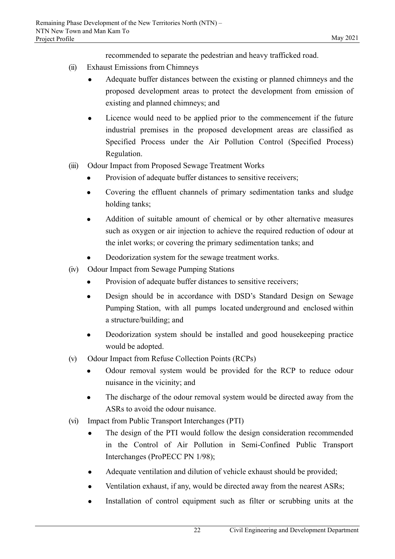recommended to separate the pedestrian and heavy trafficked road.

- (ii) Exhaust Emissions from Chimneys
	- Adequate buffer distances between the existing or planned chimneys and the proposed development areas to protect the development from emission of existing and planned chimneys; and
	- Licence would need to be applied prior to the commencement if the future industrial premises in the proposed development areas are classified as Specified Process under the Air Pollution Control (Specified Process) Regulation.
- (iii) Odour Impact from Proposed Sewage Treatment Works
	- Provision of adequate buffer distances to sensitive receivers;
	- Covering the effluent channels of primary sedimentation tanks and sludge holding tanks;
	- Addition of suitable amount of chemical or by other alternative measures such as oxygen or air injection to achieve the required reduction of odour at the inlet works; or covering the primary sedimentation tanks; and
	- Deodorization system for the sewage treatment works.
- (iv) Odour Impact from Sewage Pumping Stations
	- Provision of adequate buffer distances to sensitive receivers;
	- Design should be in accordance with DSD's Standard Design on Sewage Pumping Station, with all pumps located underground and enclosed within a structure/building; and
	- Deodorization system should be installed and good housekeeping practice would be adopted.
- (v) Odour Impact from Refuse Collection Points (RCPs)
	- Odour removal system would be provided for the RCP to reduce odour nuisance in the vicinity; and
	- The discharge of the odour removal system would be directed away from the ASRs to avoid the odour nuisance.
- (vi) Impact from Public Transport Interchanges (PTI)
	- The design of the PTI would follow the design consideration recommended in the Control of Air Pollution in Semi-Confined Public Transport Interchanges (ProPECC PN 1/98);
	- Adequate ventilation and dilution of vehicle exhaust should be provided;
	- Ventilation exhaust, if any, would be directed away from the nearest ASRs;
	- Installation of control equipment such as filter or scrubbing units at the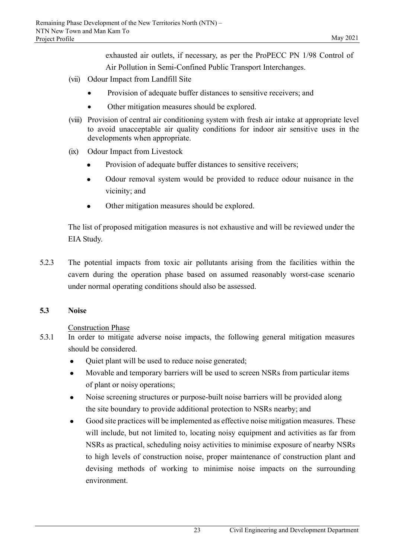exhausted air outlets, if necessary, as per the ProPECC PN 1/98 Control of Air Pollution in Semi-Confined Public Transport Interchanges.

- (vii) Odour Impact from Landfill Site
	- Provision of adequate buffer distances to sensitive receivers; and
	- Other mitigation measures should be explored.
- (viii) Provision of central air conditioning system with fresh air intake at appropriate level to avoid unacceptable air quality conditions for indoor air sensitive uses in the developments when appropriate.
- (ix) Odour Impact from Livestock
	- Provision of adequate buffer distances to sensitive receivers;
	- Odour removal system would be provided to reduce odour nuisance in the vicinity; and
	- Other mitigation measures should be explored.

The list of proposed mitigation measures is not exhaustive and will be reviewed under the EIA Study.

5.2.3 The potential impacts from toxic air pollutants arising from the facilities within the cavern during the operation phase based on assumed reasonably worst-case scenario under normal operating conditions should also be assessed.

#### **5.3 Noise**

#### Construction Phase

- 5.3.1 In order to mitigate adverse noise impacts, the following general mitigation measures should be considered.
	- Quiet plant will be used to reduce noise generated;
	- Movable and temporary barriers will be used to screen NSRs from particular items of plant or noisy operations;
	- Noise screening structures or purpose-built noise barriers will be provided along the site boundary to provide additional protection to NSRs nearby; and
	- Good site practices will be implemented as effective noise mitigation measures. These will include, but not limited to, locating noisy equipment and activities as far from NSRs as practical, scheduling noisy activities to minimise exposure of nearby NSRs to high levels of construction noise, proper maintenance of construction plant and devising methods of working to minimise noise impacts on the surrounding environment.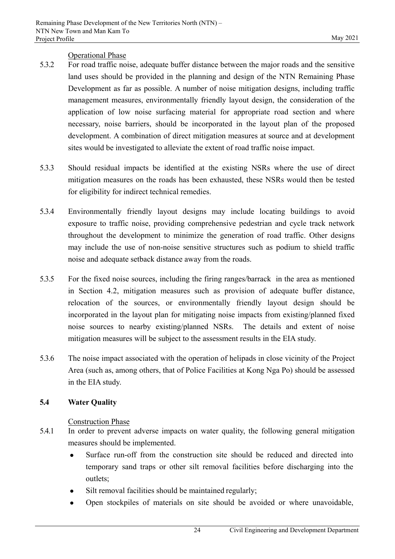## Operational Phase

- 5.3.2 For road traffic noise, adequate buffer distance between the major roads and the sensitive land uses should be provided in the planning and design of the NTN Remaining Phase Development as far as possible. A number of noise mitigation designs, including traffic management measures, environmentally friendly layout design, the consideration of the application of low noise surfacing material for appropriate road section and where necessary, noise barriers, should be incorporated in the layout plan of the proposed development. A combination of direct mitigation measures at source and at development sites would be investigated to alleviate the extent of road traffic noise impact.
- 5.3.3 Should residual impacts be identified at the existing NSRs where the use of direct mitigation measures on the roads has been exhausted, these NSRs would then be tested for eligibility for indirect technical remedies.
- 5.3.4 Environmentally friendly layout designs may include locating buildings to avoid exposure to traffic noise, providing comprehensive pedestrian and cycle track network throughout the development to minimize the generation of road traffic. Other designs may include the use of non-noise sensitive structures such as podium to shield traffic noise and adequate setback distance away from the roads.
- 5.3.5 For the fixed noise sources, including the firing ranges/barrack in the area as mentioned in Section 4.2, mitigation measures such as provision of adequate buffer distance, relocation of the sources, or environmentally friendly layout design should be incorporated in the layout plan for mitigating noise impacts from existing/planned fixed noise sources to nearby existing/planned NSRs. The details and extent of noise mitigation measures will be subject to the assessment results in the EIA study.
- 5.3.6 The noise impact associated with the operation of helipads in close vicinity of the Project Area (such as, among others, that of Police Facilities at Kong Nga Po) should be assessed in the EIA study.

## **5.4 Water Quality**

## Construction Phase

- 5.4.1 In order to prevent adverse impacts on water quality, the following general mitigation measures should be implemented.
	- Surface run-off from the construction site should be reduced and directed into temporary sand traps or other silt removal facilities before discharging into the outlets;
	- Silt removal facilities should be maintained regularly;
	- Open stockpiles of materials on site should be avoided or where unavoidable,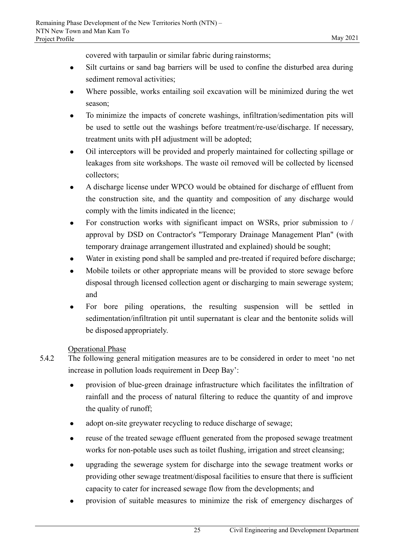covered with tarpaulin or similar fabric during rainstorms;

- Silt curtains or sand bag barriers will be used to confine the disturbed area during sediment removal activities;
- Where possible, works entailing soil excavation will be minimized during the wet season;
- To minimize the impacts of concrete washings, infiltration/sedimentation pits will be used to settle out the washings before treatment/re-use/discharge. If necessary, treatment units with pH adjustment will be adopted;
- Oil interceptors will be provided and properly maintained for collecting spillage or leakages from site workshops. The waste oil removed will be collected by licensed collectors;
- A discharge license under WPCO would be obtained for discharge of effluent from the construction site, and the quantity and composition of any discharge would comply with the limits indicated in the licence;
- For construction works with significant impact on WSRs, prior submission to / approval by DSD on Contractor's "Temporary Drainage Management Plan" (with temporary drainage arrangement illustrated and explained) should be sought;
- Water in existing pond shall be sampled and pre-treated if required before discharge;
- Mobile toilets or other appropriate means will be provided to store sewage before disposal through licensed collection agent or discharging to main sewerage system; and
- For bore piling operations, the resulting suspension will be settled in sedimentation/infiltration pit until supernatant is clear and the bentonite solids will be disposed appropriately.

## Operational Phase

- 5.4.2 The following general mitigation measures are to be considered in order to meet 'no net increase in pollution loads requirement in Deep Bay':
	- provision of blue-green drainage infrastructure which facilitates the infiltration of rainfall and the process of natural filtering to reduce the quantity of and improve the quality of runoff;
	- adopt on-site greywater recycling to reduce discharge of sewage;
	- reuse of the treated sewage effluent generated from the proposed sewage treatment works for non-potable uses such as toilet flushing, irrigation and street cleansing;
	- upgrading the sewerage system for discharge into the sewage treatment works or providing other sewage treatment/disposal facilities to ensure that there is sufficient capacity to cater for increased sewage flow from the developments; and
	- provision of suitable measures to minimize the risk of emergency discharges of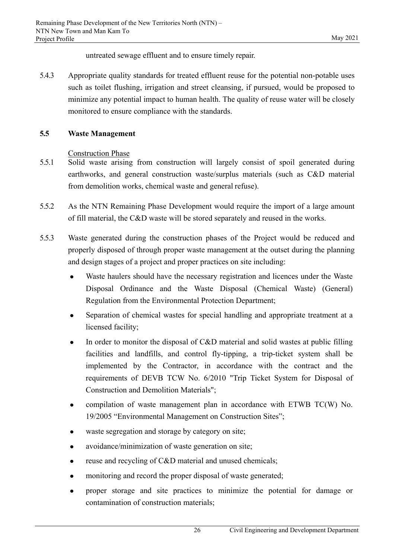untreated sewage effluent and to ensure timely repair.

5.4.3 Appropriate quality standards for treated effluent reuse for the potential non-potable uses such as toilet flushing, irrigation and street cleansing, if pursued, would be proposed to minimize any potential impact to human health. The quality of reuse water will be closely monitored to ensure compliance with the standards.

## **5.5 Waste Management**

Construction Phase

- 5.5.1 Solid waste arising from construction will largely consist of spoil generated during earthworks, and general construction waste/surplus materials (such as C&D material from demolition works, chemical waste and general refuse).
- 5.5.2 As the NTN Remaining Phase Development would require the import of a large amount of fill material, the C&D waste will be stored separately and reused in the works.
- 5.5.3 Waste generated during the construction phases of the Project would be reduced and properly disposed of through proper waste management at the outset during the planning and design stages of a project and proper practices on site including:
	- Waste haulers should have the necessary registration and licences under the Waste Disposal Ordinance and the Waste Disposal (Chemical Waste) (General) Regulation from the Environmental Protection Department;
	- Separation of chemical wastes for special handling and appropriate treatment at a licensed facility;
	- In order to monitor the disposal of C&D material and solid wastes at public filling facilities and landfills, and control fly-tipping, a trip-ticket system shall be implemented by the Contractor, in accordance with the contract and the requirements of DEVB TCW No. 6/2010 "Trip Ticket System for Disposal of Construction and Demolition Materials";
	- compilation of waste management plan in accordance with ETWB TC(W) No. 19/2005 "Environmental Management on Construction Sites";
	- waste segregation and storage by category on site;
	- avoidance/minimization of waste generation on site;
	- reuse and recycling of C&D material and unused chemicals;
	- monitoring and record the proper disposal of waste generated;
	- proper storage and site practices to minimize the potential for damage or contamination of construction materials;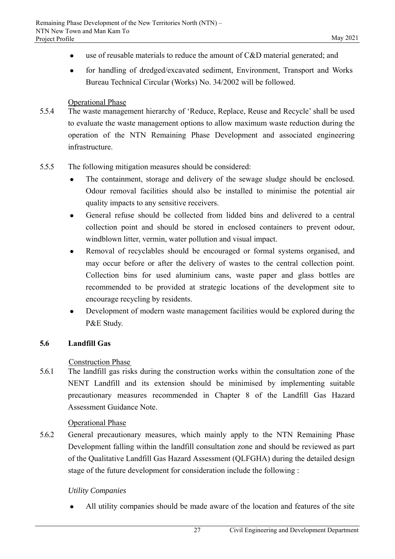- use of reusable materials to reduce the amount of C&D material generated; and
- for handling of dredged/excavated sediment, Environment, Transport and Works Bureau Technical Circular (Works) No. 34/2002 will be followed.

#### Operational Phase

- 5.5.4 The waste management hierarchy of 'Reduce, Replace, Reuse and Recycle' shall be used to evaluate the waste management options to allow maximum waste reduction during the operation of the NTN Remaining Phase Development and associated engineering infrastructure.
- 5.5.5 The following mitigation measures should be considered:
	- The containment, storage and delivery of the sewage sludge should be enclosed. Odour removal facilities should also be installed to minimise the potential air quality impacts to any sensitive receivers.
	- General refuse should be collected from lidded bins and delivered to a central collection point and should be stored in enclosed containers to prevent odour, windblown litter, vermin, water pollution and visual impact.
	- Removal of recyclables should be encouraged or formal systems organised, and may occur before or after the delivery of wastes to the central collection point. Collection bins for used aluminium cans, waste paper and glass bottles are recommended to be provided at strategic locations of the development site to encourage recycling by residents.
	- Development of modern waste management facilities would be explored during the P&E Study.

#### **5.6 Landfill Gas**

#### Construction Phase

5.6.1 The landfill gas risks during the construction works within the consultation zone of the NENT Landfill and its extension should be minimised by implementing suitable precautionary measures recommended in Chapter 8 of the Landfill Gas Hazard Assessment Guidance Note.

#### Operational Phase

5.6.2 General precautionary measures, which mainly apply to the NTN Remaining Phase Development falling within the landfill consultation zone and should be reviewed as part of the Qualitative Landfill Gas Hazard Assessment (QLFGHA) during the detailed design stage of the future development for consideration include the following :

#### *Utility Companies*

All utility companies should be made aware of the location and features of the site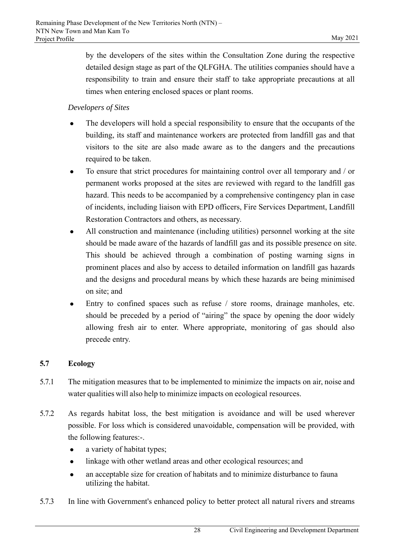by the developers of the sites within the Consultation Zone during the respective detailed design stage as part of the QLFGHA. The utilities companies should have a responsibility to train and ensure their staff to take appropriate precautions at all times when entering enclosed spaces or plant rooms.

## *Developers of Sites*

- The developers will hold a special responsibility to ensure that the occupants of the building, its staff and maintenance workers are protected from landfill gas and that visitors to the site are also made aware as to the dangers and the precautions required to be taken.
- To ensure that strict procedures for maintaining control over all temporary and / or permanent works proposed at the sites are reviewed with regard to the landfill gas hazard. This needs to be accompanied by a comprehensive contingency plan in case of incidents, including liaison with EPD officers, Fire Services Department, Landfill Restoration Contractors and others, as necessary.
- All construction and maintenance (including utilities) personnel working at the site should be made aware of the hazards of landfill gas and its possible presence on site. This should be achieved through a combination of posting warning signs in prominent places and also by access to detailed information on landfill gas hazards and the designs and procedural means by which these hazards are being minimised on site; and
- Entry to confined spaces such as refuse / store rooms, drainage manholes, etc. should be preceded by a period of "airing" the space by opening the door widely allowing fresh air to enter. Where appropriate, monitoring of gas should also precede entry.

# **5.7 Ecology**

- 5.7.1 The mitigation measures that to be implemented to minimize the impacts on air, noise and water qualities will also help to minimize impacts on ecological resources.
- 5.7.2 As regards habitat loss, the best mitigation is avoidance and will be used wherever possible. For loss which is considered unavoidable, compensation will be provided, with the following features:-.
	- a variety of habitat types;
	- linkage with other wetland areas and other ecological resources; and
	- an acceptable size for creation of habitats and to minimize disturbance to fauna utilizing the habitat.
- 5.7.3 In line with Government's enhanced policy to better protect all natural rivers and streams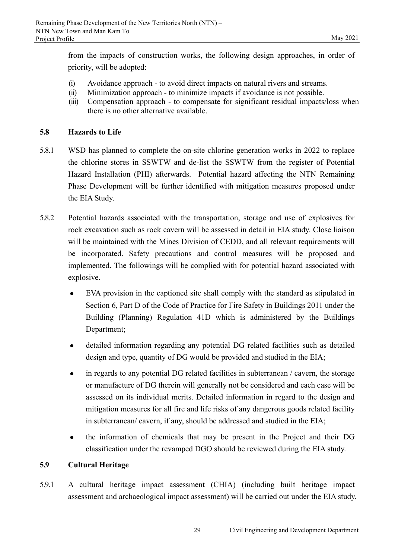from the impacts of construction works, the following design approaches, in order of priority, will be adopted:

- (i) Avoidance approach to avoid direct impacts on natural rivers and streams.
- (ii) Minimization approach to minimize impacts if avoidance is not possible.
- (iii) Compensation approach to compensate for significant residual impacts/loss when there is no other alternative available.

## **5.8 Hazards to Life**

- 5.8.1 WSD has planned to complete the on-site chlorine generation works in 2022 to replace the chlorine stores in SSWTW and de-list the SSWTW from the register of Potential Hazard Installation (PHI) afterwards. Potential hazard affecting the NTN Remaining Phase Development will be further identified with mitigation measures proposed under the EIA Study.
- 5.8.2 Potential hazards associated with the transportation, storage and use of explosives for rock excavation such as rock cavern will be assessed in detail in EIA study. Close liaison will be maintained with the Mines Division of CEDD, and all relevant requirements will be incorporated. Safety precautions and control measures will be proposed and implemented. The followings will be complied with for potential hazard associated with explosive.
	- EVA provision in the captioned site shall comply with the standard as stipulated in Section 6, Part D of the Code of Practice for Fire Safety in Buildings 2011 under the Building (Planning) Regulation 41D which is administered by the Buildings Department;
	- detailed information regarding any potential DG related facilities such as detailed design and type, quantity of DG would be provided and studied in the EIA;
	- in regards to any potential DG related facilities in subterranean / cavern, the storage or manufacture of DG therein will generally not be considered and each case will be assessed on its individual merits. Detailed information in regard to the design and mitigation measures for all fire and life risks of any dangerous goods related facility in subterranean/ cavern, if any, should be addressed and studied in the EIA;
	- the information of chemicals that may be present in the Project and their DG classification under the revamped DGO should be reviewed during the EIA study.

# **5.9 Cultural Heritage**

5.9.1 A cultural heritage impact assessment (CHIA) (including built heritage impact assessment and archaeological impact assessment) will be carried out under the EIA study.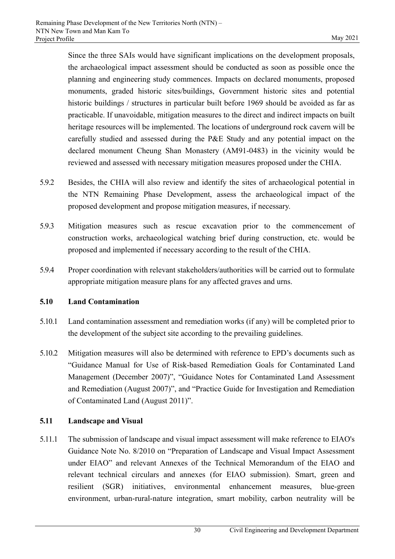Since the three SAIs would have significant implications on the development proposals, the archaeological impact assessment should be conducted as soon as possible once the planning and engineering study commences. Impacts on declared monuments, proposed monuments, graded historic sites/buildings, Government historic sites and potential historic buildings / structures in particular built before 1969 should be avoided as far as practicable. If unavoidable, mitigation measures to the direct and indirect impacts on built heritage resources will be implemented. The locations of underground rock cavern will be carefully studied and assessed during the P&E Study and any potential impact on the declared monument Cheung Shan Monastery (AM91-0483) in the vicinity would be reviewed and assessed with necessary mitigation measures proposed under the CHIA.

- 5.9.2 Besides, the CHIA will also review and identify the sites of archaeological potential in the NTN Remaining Phase Development, assess the archaeological impact of the proposed development and propose mitigation measures, if necessary.
- 5.9.3 Mitigation measures such as rescue excavation prior to the commencement of construction works, archaeological watching brief during construction, etc. would be proposed and implemented if necessary according to the result of the CHIA.
- 5.9.4 Proper coordination with relevant stakeholders/authorities will be carried out to formulate appropriate mitigation measure plans for any affected graves and urns.

## **5.10 Land Contamination**

- 5.10.1 Land contamination assessment and remediation works (if any) will be completed prior to the development of the subject site according to the prevailing guidelines.
- 5.10.2 Mitigation measures will also be determined with reference to EPD's documents such as "Guidance Manual for Use of Risk-based Remediation Goals for Contaminated Land Management (December 2007)", "Guidance Notes for Contaminated Land Assessment and Remediation (August 2007)", and "Practice Guide for Investigation and Remediation of Contaminated Land (August 2011)".

# **5.11 Landscape and Visual**

5.11.1 The submission of landscape and visual impact assessment will make reference to EIAO's Guidance Note No. 8/2010 on "Preparation of Landscape and Visual Impact Assessment under EIAO" and relevant Annexes of the Technical Memorandum of the EIAO and relevant technical circulars and annexes (for EIAO submission). Smart, green and resilient (SGR) initiatives, environmental enhancement measures, blue-green environment, urban-rural-nature integration, smart mobility, carbon neutrality will be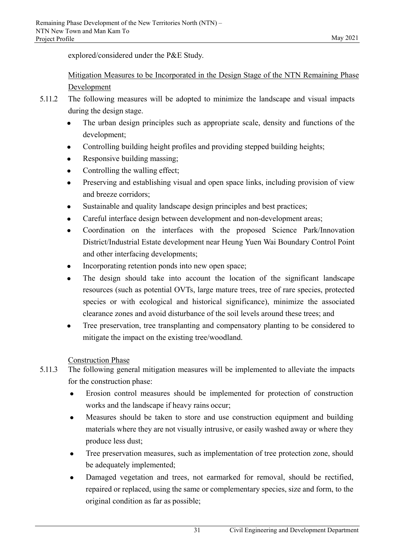explored/considered under the P&E Study.

# Mitigation Measures to be Incorporated in the Design Stage of the NTN Remaining Phase Development

- 5.11.2 The following measures will be adopted to minimize the landscape and visual impacts during the design stage.
	- The urban design principles such as appropriate scale, density and functions of the development;
	- Controlling building height profiles and providing stepped building heights;
	- Responsive building massing;
	- Controlling the walling effect;
	- Preserving and establishing visual and open space links, including provision of view and breeze corridors;
	- Sustainable and quality landscape design principles and best practices;
	- Careful interface design between development and non-development areas;
	- Coordination on the interfaces with the proposed Science Park/Innovation District/Industrial Estate development near Heung Yuen Wai Boundary Control Point and other interfacing developments;
	- Incorporating retention ponds into new open space;
	- The design should take into account the location of the significant landscape resources (such as potential OVTs, large mature trees, tree of rare species, protected species or with ecological and historical significance), minimize the associated clearance zones and avoid disturbance of the soil levels around these trees; and
	- Tree preservation, tree transplanting and compensatory planting to be considered to mitigate the impact on the existing tree/woodland.

# Construction Phase

- 5.11.3 The following general mitigation measures will be implemented to alleviate the impacts for the construction phase:
	- Erosion control measures should be implemented for protection of construction works and the landscape if heavy rains occur;
	- Measures should be taken to store and use construction equipment and building materials where they are not visually intrusive, or easily washed away or where they produce less dust;
	- Tree preservation measures, such as implementation of tree protection zone, should be adequately implemented;
	- Damaged vegetation and trees, not earmarked for removal, should be rectified, repaired or replaced, using the same or complementary species, size and form, to the original condition as far as possible;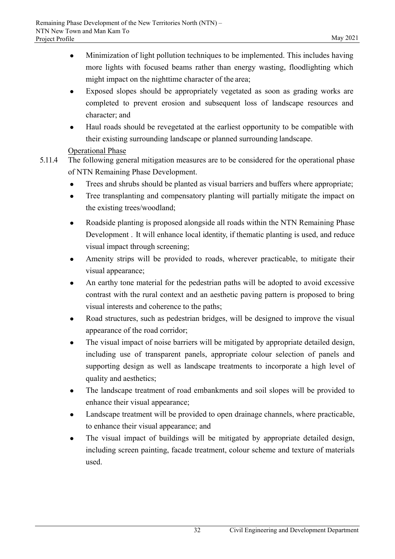- Minimization of light pollution techniques to be implemented. This includes having more lights with focused beams rather than energy wasting, floodlighting which might impact on the nighttime character of the area;
- Exposed slopes should be appropriately vegetated as soon as grading works are completed to prevent erosion and subsequent loss of landscape resources and character; and
- Haul roads should be revegetated at the earliest opportunity to be compatible with their existing surrounding landscape or planned surrounding landscape.

## Operational Phase

- 5.11.4 The following general mitigation measures are to be considered for the operational phase of NTN Remaining Phase Development.
	- Trees and shrubs should be planted as visual barriers and buffers where appropriate;
	- Tree transplanting and compensatory planting will partially mitigate the impact on the existing trees/woodland;
	- Roadside planting is proposed alongside all roads within the NTN Remaining Phase Development . It will enhance local identity, if thematic planting is used, and reduce visual impact through screening;
	- Amenity strips will be provided to roads, wherever practicable, to mitigate their visual appearance;
	- An earthy tone material for the pedestrian paths will be adopted to avoid excessive contrast with the rural context and an aesthetic paving pattern is proposed to bring visual interests and coherence to the paths;
	- Road structures, such as pedestrian bridges, will be designed to improve the visual appearance of the road corridor;
	- The visual impact of noise barriers will be mitigated by appropriate detailed design, including use of transparent panels, appropriate colour selection of panels and supporting design as well as landscape treatments to incorporate a high level of quality and aesthetics;
	- The landscape treatment of road embankments and soil slopes will be provided to enhance their visual appearance;
	- Landscape treatment will be provided to open drainage channels, where practicable, to enhance their visual appearance; and
	- The visual impact of buildings will be mitigated by appropriate detailed design, including screen painting, facade treatment, colour scheme and texture of materials used.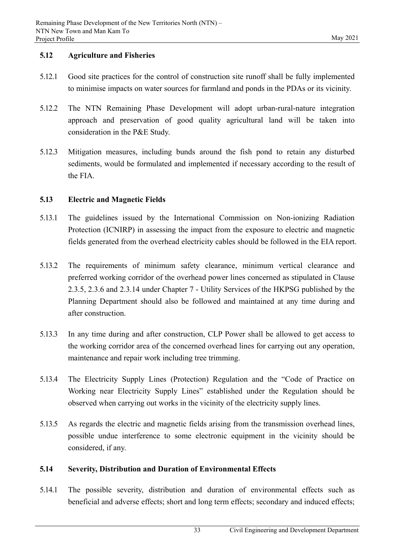#### **5.12 Agriculture and Fisheries**

- 5.12.1 Good site practices for the control of construction site runoff shall be fully implemented to minimise impacts on water sources for farmland and ponds in the PDAs or its vicinity.
- 5.12.2 The NTN Remaining Phase Development will adopt urban-rural-nature integration approach and preservation of good quality agricultural land will be taken into consideration in the P&E Study.
- 5.12.3 Mitigation measures, including bunds around the fish pond to retain any disturbed sediments, would be formulated and implemented if necessary according to the result of the FIA.

## **5.13 Electric and Magnetic Fields**

- 5.13.1 The guidelines issued by the International Commission on Non-ionizing Radiation Protection (ICNIRP) in assessing the impact from the exposure to electric and magnetic fields generated from the overhead electricity cables should be followed in the EIA report.
- 5.13.2 The requirements of minimum safety clearance, minimum vertical clearance and preferred working corridor of the overhead power lines concerned as stipulated in Clause 2.3.5, 2.3.6 and 2.3.14 under Chapter 7 - Utility Services of the HKPSG published by the Planning Department should also be followed and maintained at any time during and after construction.
- 5.13.3 In any time during and after construction, CLP Power shall be allowed to get access to the working corridor area of the concerned overhead lines for carrying out any operation, maintenance and repair work including tree trimming.
- 5.13.4 The Electricity Supply Lines (Protection) Regulation and the "Code of Practice on Working near Electricity Supply Lines" established under the Regulation should be observed when carrying out works in the vicinity of the electricity supply lines.
- 5.13.5 As regards the electric and magnetic fields arising from the transmission overhead lines, possible undue interference to some electronic equipment in the vicinity should be considered, if any.

## **5.14 Severity, Distribution and Duration of Environmental Effects**

5.14.1 The possible severity, distribution and duration of environmental effects such as beneficial and adverse effects; short and long term effects; secondary and induced effects;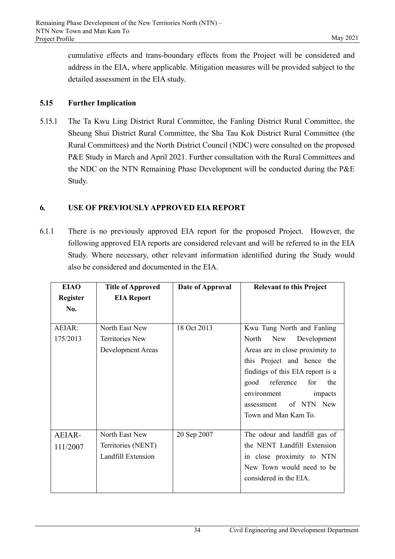cumulative effects and trans-boundary effects from the Project will be considered and address in the EIA, where applicable. Mitigation measures will be provided subject to the detailed assessment in the EIA study.

## **5.15 Further Implication**

5.15.1 The Ta Kwu Ling District Rural Committee, the Fanling District Rural Committee, the Sheung Shui District Rural Committee, the Sha Tau Kok District Rural Committee (the Rural Committees) and the North District Council (NDC) were consulted on the proposed P&E Study in March and April 2021. Further consultation with the Rural Committees and the NDC on the NTN Remaining Phase Development will be conducted during the P&E Study.

## **6. USE OF PREVIOUSLY APPROVED EIA REPORT**

6.1.1 There is no previously approved EIA report for the proposed Project. However, the following approved EIA reports are considered relevant and will be referred to in the EIA Study. Where necessary, other relevant information identified during the Study would also be considered and documented in the EIA.

| <b>EIAO</b>     | <b>Title of Approved</b> | Date of Approval | <b>Relevant to this Project</b>  |
|-----------------|--------------------------|------------------|----------------------------------|
| <b>Register</b> | <b>EIA Report</b>        |                  |                                  |
| No.             |                          |                  |                                  |
|                 |                          |                  |                                  |
| AEIAR:          | North East New           | 18 Oct 2013      | Kwu Tung North and Fanling       |
| 175/2013        | <b>Territories New</b>   |                  | North<br>Development<br>New      |
|                 | Development Areas        |                  | Areas are in close proximity to  |
|                 |                          |                  | this Project and hence the       |
|                 |                          |                  | findings of this EIA report is a |
|                 |                          |                  | reference<br>for<br>good<br>the  |
|                 |                          |                  | environment<br>impacts           |
|                 |                          |                  | of NTN New<br>assessment         |
|                 |                          |                  | Town and Man Kam To.             |
|                 |                          |                  |                                  |
| AEIAR-          | North East New           | 20 Sep 2007      | The odour and landfill gas of    |
| 111/2007        | Territories (NENT)       |                  | the NENT Landfill Extension      |
|                 | Landfill Extension       |                  | in close proximity to NTN        |
|                 |                          |                  | New Town would need to be        |
|                 |                          |                  | considered in the EIA.           |
|                 |                          |                  |                                  |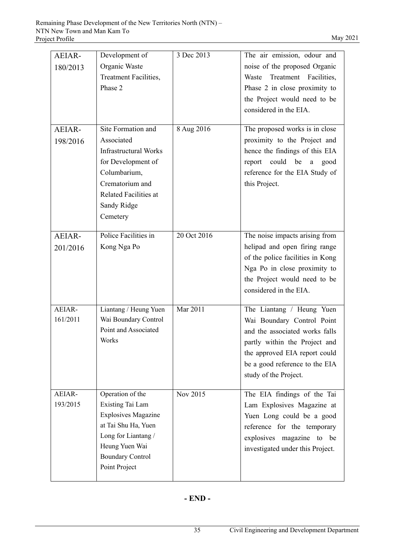| AEIAR-<br>180/2013 | Development of<br>Organic Waste<br>Treatment Facilities,<br>Phase 2                                                                                                                  | 3 Dec 2013  | The air emission, odour and<br>noise of the proposed Organic<br>Waste<br>Treatment Facilities,<br>Phase 2 in close proximity to<br>the Project would need to be<br>considered in the EIA.                              |
|--------------------|--------------------------------------------------------------------------------------------------------------------------------------------------------------------------------------|-------------|------------------------------------------------------------------------------------------------------------------------------------------------------------------------------------------------------------------------|
| AEIAR-<br>198/2016 | Site Formation and<br>Associated<br><b>Infrastructural Works</b><br>for Development of<br>Columbarium,<br>Crematorium and<br><b>Related Facilities at</b><br>Sandy Ridge<br>Cemetery | 8 Aug 2016  | The proposed works is in close<br>proximity to the Project and<br>hence the findings of this EIA<br>report could be a good<br>reference for the EIA Study of<br>this Project.                                          |
| AEIAR-<br>201/2016 | Police Facilities in<br>Kong Nga Po                                                                                                                                                  | 20 Oct 2016 | The noise impacts arising from<br>helipad and open firing range<br>of the police facilities in Kong<br>Nga Po in close proximity to<br>the Project would need to be<br>considered in the EIA.                          |
| AEIAR-<br>161/2011 | Liantang / Heung Yuen<br>Wai Boundary Control<br>Point and Associated<br>Works                                                                                                       | Mar 2011    | The Liantang / Heung Yuen<br>Wai Boundary Control Point<br>and the associated works falls<br>partly within the Project and<br>the approved EIA report could<br>be a good reference to the EIA<br>study of the Project. |
| AEIAR-<br>193/2015 | Operation of the<br>Existing Tai Lam<br><b>Explosives Magazine</b><br>at Tai Shu Ha, Yuen<br>Long for Liantang /<br>Heung Yuen Wai<br><b>Boundary Control</b><br>Point Project       | Nov 2015    | The EIA findings of the Tai<br>Lam Explosives Magazine at<br>Yuen Long could be a good<br>reference for the temporary<br>explosives magazine to be<br>investigated under this Project.                                 |

# **- END -**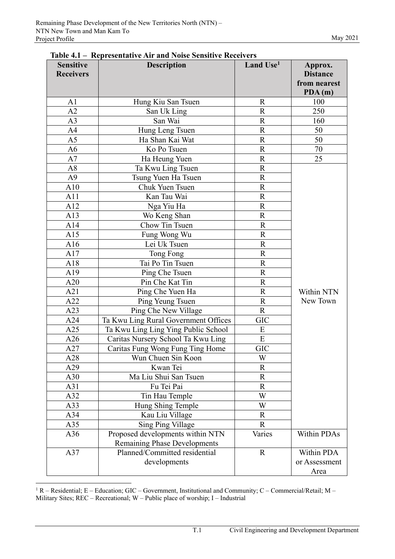| <b>Sensitive</b><br><b>Receivers</b> | <b>Description</b>                   | Land Use <sup>1</sup> | Approx.<br><b>Distance</b> |
|--------------------------------------|--------------------------------------|-----------------------|----------------------------|
|                                      |                                      |                       | from nearest               |
|                                      |                                      |                       | PDA(m)                     |
| A1                                   | Hung Kiu San Tsuen                   | R                     | 100                        |
| A2                                   | San Uk Ling                          | $\overline{R}$        | 250                        |
| A <sub>3</sub>                       | San Wai                              | $\mathbf R$           | 160                        |
| A <sub>4</sub>                       | Hung Leng Tsuen                      | $\overline{R}$        | 50                         |
| A <sub>5</sub>                       | Ha Shan Kai Wat                      | $\mathbf R$           | 50                         |
| A6                                   | Ko Po Tsuen                          | ${\bf R}$             | 70                         |
| A7                                   | Ha Heung Yuen                        | $\overline{R}$        | $\overline{25}$            |
| A8                                   | Ta Kwu Ling Tsuen                    | $\overline{R}$        |                            |
| A <sub>9</sub>                       | Tsung Yuen Ha Tsuen                  | $\mathbf R$           |                            |
| A10                                  | Chuk Yuen Tsuen                      | $\mathbf R$           |                            |
| A11                                  | Kan Tau Wai                          | $\overline{R}$        |                            |
| A12                                  | Nga Yiu Ha                           | $\mathbf R$           |                            |
| A13                                  | Wo Keng Shan                         | $\mathbf R$           |                            |
| A14                                  | Chow Tin Tsuen                       | $\mathbf R$           |                            |
| A15                                  | Fung Wong Wu                         | $\overline{R}$        |                            |
| A16                                  | Lei Uk Tsuen                         | $\mathbf R$           |                            |
| A17                                  | Tong Fong                            | $\overline{R}$        |                            |
| A18                                  | Tai Po Tin Tsuen                     | $\mathbf R$           |                            |
| A19                                  | Ping Che Tsuen                       | $\mathbf R$           |                            |
| A20                                  | Pin Che Kat Tin                      | $\mathbf R$           |                            |
| A21                                  | Ping Che Yuen Ha                     | $\mathbf R$           | Within NTN                 |
| A22                                  | Ping Yeung Tsuen                     | ${\bf R}$             | New Town                   |
| A23                                  | Ping Che New Village                 | $\mathbf R$           |                            |
| A24                                  | Ta Kwu Ling Rural Government Offices | <b>GIC</b>            |                            |
| A25                                  | Ta Kwu Ling Ling Ying Public School  | E                     |                            |
| A26                                  | Caritas Nursery School Ta Kwu Ling   | E                     |                            |
| A27                                  | Caritas Fung Wong Fung Ting Home     | <b>GIC</b>            |                            |
| A28                                  | Wun Chuen Sin Koon                   | W                     |                            |
| A29                                  | Kwan Tei                             | $\mathbf R$           |                            |
| A30                                  | Ma Liu Shui San Tsuen                | $\mathbf R$           |                            |
| A31                                  | Fu Tei Pai                           | $\mathbf R$           |                            |
| A32                                  | Tin Hau Temple                       | W                     |                            |
| A33                                  | Hung Shing Temple                    | W                     |                            |
| A34                                  | Kau Liu Village                      | $\mathbf R$           |                            |
| A35                                  | Sing Ping Village                    | R                     |                            |
| A36                                  | Proposed developments within NTN     | Varies                | Within PDAs                |
|                                      | <b>Remaining Phase Developments</b>  |                       |                            |
| A37                                  | Planned/Committed residential        | $\mathbf R$           | Within PDA                 |
|                                      | developments                         |                       | or Assessment              |
|                                      |                                      |                       | Area                       |

|  | Table 4.1 – Representative Air and Noise Sensitive Receivers |
|--|--------------------------------------------------------------|
|--|--------------------------------------------------------------|

1 R – Residential; E – Education; GIC – Government, Institutional and Community; C – Commercial/Retail; M – Military Sites; REC – Recreational; W – Public place of worship; I – Industrial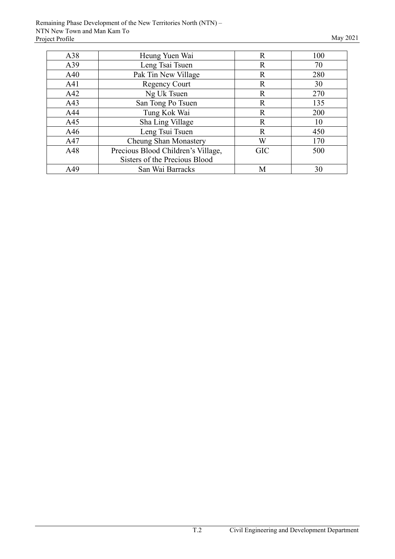| A38 | Heung Yuen Wai                     | $\mathbf R$  | 100 |
|-----|------------------------------------|--------------|-----|
| A39 | Leng Tsai Tsuen                    | $\mathbf R$  | 70  |
| A40 | Pak Tin New Village                | $\mathbb R$  | 280 |
| A41 | <b>Regency Court</b>               | $\mathbb{R}$ | 30  |
| A42 | Ng Uk Tsuen                        | $\mathbf R$  | 270 |
| A43 | San Tong Po Tsuen                  | $\mathbf R$  | 135 |
| A44 | Tung Kok Wai                       | $\mathbb{R}$ | 200 |
| A45 | Sha Ling Village                   | $\mathbf R$  | 10  |
| A46 | Leng Tsui Tsuen                    | $\mathbf R$  | 450 |
| A47 | Cheung Shan Monastery              | W            | 170 |
| A48 | Precious Blood Children's Village, | <b>GIC</b>   | 500 |
|     | Sisters of the Precious Blood      |              |     |
| A49 | San Wai Barracks                   | М            | 30  |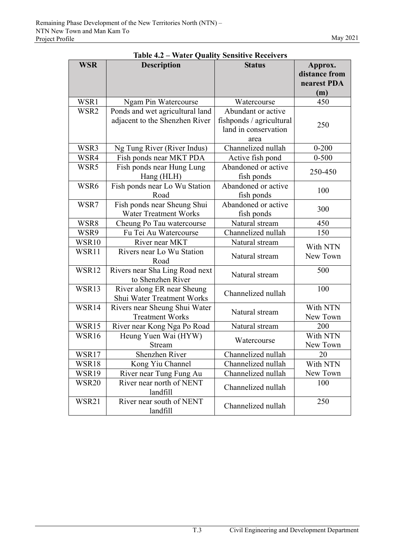| <b>WSR</b> | <b>Description</b>                                                | water Quanty Sensitive Receivers<br><b>Status</b>                              | Approx.<br>distance from<br>nearest PDA |
|------------|-------------------------------------------------------------------|--------------------------------------------------------------------------------|-----------------------------------------|
|            |                                                                   |                                                                                | (m)                                     |
| WSR1       | Ngam Pin Watercourse                                              | Watercourse                                                                    | 450                                     |
| WSR2       | Ponds and wet agricultural land<br>adjacent to the Shenzhen River | Abundant or active<br>fishponds / agricultural<br>land in conservation<br>area | 250                                     |
| WSR3       | Ng Tung River (River Indus)                                       | Channelized nullah                                                             | $0 - 200$                               |
| WSR4       | Fish ponds near MKT PDA                                           | Active fish pond                                                               | $0 - 500$                               |
| WSR5       | Fish ponds near Hung Lung<br>Hang (HLH)                           | Abandoned or active<br>fish ponds                                              | 250-450                                 |
| WSR6       | Fish ponds near Lo Wu Station<br>Road                             | Abandoned or active<br>fish ponds                                              | 100                                     |
| WSR7       | Fish ponds near Sheung Shui<br><b>Water Treatment Works</b>       | Abandoned or active<br>fish ponds                                              | 300                                     |
| WSR8       | Cheung Po Tau watercourse                                         | Natural stream                                                                 | 450                                     |
| WSR9       | Fu Tei Au Watercourse                                             | Channelized nullah                                                             | 150                                     |
| WSR10      | River near MKT                                                    | Natural stream                                                                 | With NTN                                |
| WSR11      | Rivers near Lo Wu Station<br>Road                                 | Natural stream                                                                 | New Town                                |
| WSR12      | Rivers near Sha Ling Road next<br>to Shenzhen River               | Natural stream                                                                 | 500                                     |
| WSR13      | River along ER near Sheung<br>Shui Water Treatment Works          | Channelized nullah                                                             | 100                                     |
| WSR14      | Rivers near Sheung Shui Water<br><b>Treatment Works</b>           | Natural stream                                                                 | With NTN<br>New Town                    |
| WSR15      | River near Kong Nga Po Road                                       | Natural stream                                                                 | 200                                     |
| WSR16      | Heung Yuen Wai (HYW)<br>Stream                                    | Watercourse                                                                    | With NTN<br>New Town                    |
| WSR17      | Shenzhen River                                                    | Channelized nullah                                                             | 20                                      |
| WSR18      | Kong Yiu Channel                                                  | Channelized nullah                                                             | With NTN                                |
| WSR19      | River near Tung Fung Au                                           | Channelized nullah                                                             | New Town                                |
| WSR20      | River near north of NENT<br>landfill                              | Channelized nullah                                                             | 100                                     |
| WSR21      | River near south of NENT<br>landfill                              | Channelized nullah                                                             | 250                                     |

**Table 4.2 – Water Quality Sensitive Receivers**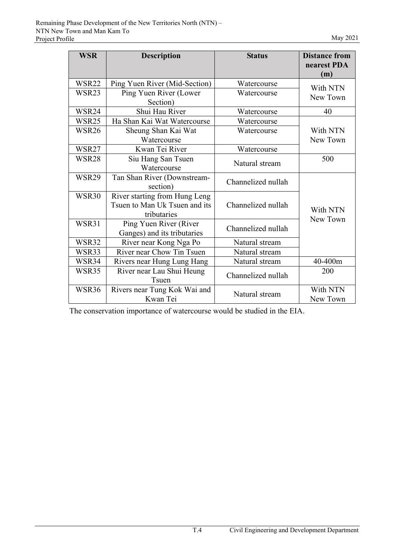| <b>WSR</b>   | <b>Description</b>                                                            | <b>Status</b>      | <b>Distance from</b><br>nearest PDA<br>(m) |
|--------------|-------------------------------------------------------------------------------|--------------------|--------------------------------------------|
| <b>WSR22</b> | Ping Yuen River (Mid-Section)                                                 | Watercourse        | With NTN                                   |
| WSR23        | Ping Yuen River (Lower<br>Section)                                            | Watercourse        | New Town                                   |
| WSR24        | Shui Hau River                                                                | Watercourse        | 40                                         |
| WSR25        | Ha Shan Kai Wat Watercourse                                                   | Watercourse        |                                            |
| <b>WSR26</b> | Sheung Shan Kai Wat<br>Watercourse                                            | Watercourse        | With NTN<br>New Town                       |
| WSR27        | Kwan Tei River                                                                | Watercourse        |                                            |
| WSR28        | Siu Hang San Tsuen<br>Watercourse                                             | Natural stream     | 500                                        |
| WSR29        | Tan Shan River (Downstream-<br>section)                                       | Channelized nullah |                                            |
| <b>WSR30</b> | River starting from Hung Leng<br>Tsuen to Man Uk Tsuen and its<br>tributaries | Channelized nullah | With NTN<br>New Town                       |
| WSR31        | Ping Yuen River (River<br>Ganges) and its tributaries                         | Channelized nullah |                                            |
| WSR32        | River near Kong Nga Po                                                        | Natural stream     |                                            |
| WSR33        | River near Chow Tin Tsuen                                                     | Natural stream     |                                            |
| WSR34        | Rivers near Hung Lung Hang                                                    | Natural stream     | 40-400m                                    |
| WSR35        | River near Lau Shui Heung<br>Tsuen                                            | Channelized nullah | 200                                        |
| WSR36        | Rivers near Tung Kok Wai and<br>Kwan Tei                                      | Natural stream     | With NTN<br>New Town                       |

The conservation importance of watercourse would be studied in the EIA.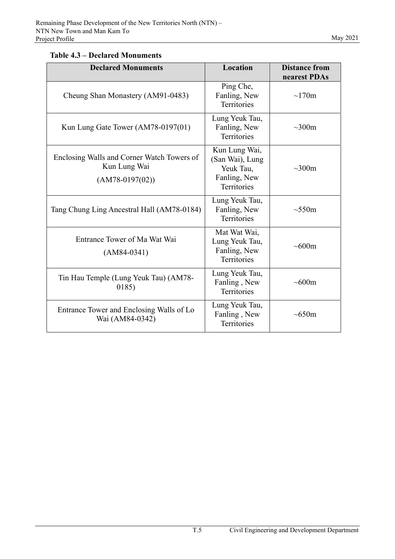# **Table 4.3 – Declared Monuments**

| <b>Declared Monuments</b>                                                       | Location                                                                            | <b>Distance from</b><br>nearest PDAs |
|---------------------------------------------------------------------------------|-------------------------------------------------------------------------------------|--------------------------------------|
| Cheung Shan Monastery (AM91-0483)                                               | Ping Che,<br>Fanling, New<br><b>Territories</b>                                     | $\sim$ 170m                          |
| Kun Lung Gate Tower (AM78-0197(01)                                              | Lung Yeuk Tau,<br>Fanling, New<br><b>Territories</b>                                | $\sim 300$ m                         |
| Enclosing Walls and Corner Watch Towers of<br>Kun Lung Wai<br>$(AM78-0197(02))$ | Kun Lung Wai,<br>(San Wai), Lung<br>Yeuk Tau,<br>Fanling, New<br><b>Territories</b> | $\sim 300$ m                         |
| Tang Chung Ling Ancestral Hall (AM78-0184)                                      | Lung Yeuk Tau,<br>Fanling, New<br><b>Territories</b>                                | $\sim 550$ m                         |
| Entrance Tower of Ma Wat Wai<br>$(AM84-0341)$                                   | Mat Wat Wai,<br>Lung Yeuk Tau,<br>Fanling, New<br>Territories                       | $\sim 600$ m                         |
| Tin Hau Temple (Lung Yeuk Tau) (AM78-<br>0185)                                  | Lung Yeuk Tau,<br>Fanling, New<br><b>Territories</b>                                | $\sim 600$ m                         |
| Entrance Tower and Enclosing Walls of Lo<br>Wai (AM84-0342)                     | Lung Yeuk Tau,<br>Fanling, New<br>Territories                                       | $\sim 650$ m                         |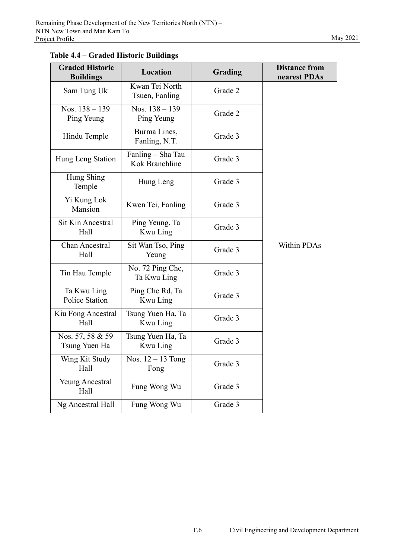| <b>Graded Historic</b><br><b>Buildings</b> | Location                            | Grading | <b>Distance from</b><br>nearest PDAs |
|--------------------------------------------|-------------------------------------|---------|--------------------------------------|
| Sam Tung Uk                                | Kwan Tei North<br>Tsuen, Fanling    | Grade 2 |                                      |
| Nos. $138 - 139$<br>Ping Yeung             | Nos. $138 - 139$<br>Ping Yeung      | Grade 2 |                                      |
| Hindu Temple                               | Burma Lines,<br>Fanling, N.T.       | Grade 3 |                                      |
| Hung Leng Station                          | Fanling – Sha Tau<br>Kok Branchline | Grade 3 |                                      |
| Hung Shing<br>Temple                       | Hung Leng                           | Grade 3 |                                      |
| Yi Kung Lok<br>Mansion                     | Kwen Tei, Fanling                   | Grade 3 |                                      |
| <b>Sit Kin Ancestral</b><br>Hall           | Ping Yeung, Ta<br>Kwu Ling          | Grade 3 |                                      |
| <b>Chan Ancestral</b><br>Hall              | Sit Wan Tso, Ping<br>Yeung          | Grade 3 | <b>Within PDAs</b>                   |
| Tin Hau Temple                             | No. 72 Ping Che,<br>Ta Kwu Ling     | Grade 3 |                                      |
| Ta Kwu Ling<br>Police Station              | Ping Che Rd, Ta<br>Kwu Ling         | Grade 3 |                                      |
| Kiu Fong Ancestral<br>Hall                 | Tsung Yuen Ha, Ta<br>Kwu Ling       | Grade 3 |                                      |
| Nos. 57, 58 & 59<br>Tsung Yuen Ha          | Tsung Yuen Ha, Ta<br>Kwu Ling       | Grade 3 |                                      |
| Wing Kit Study<br>Hall                     | Nos. 12 - 13 Tong<br>Fong           | Grade 3 |                                      |
| <b>Yeung Ancestral</b><br>Hall             | Fung Wong Wu                        | Grade 3 |                                      |
| Ng Ancestral Hall                          | Fung Wong Wu                        | Grade 3 |                                      |

**Table 4.4 – Graded Historic Buildings**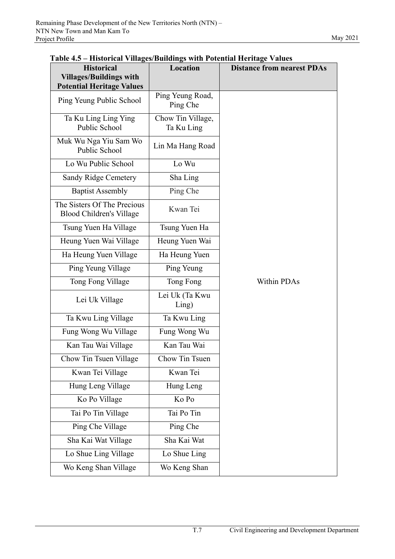| <b>Historical</b><br><b>Villages/Buildings with</b>            | Location                        | <b>Distance from nearest PDAs</b> |  |
|----------------------------------------------------------------|---------------------------------|-----------------------------------|--|
| <b>Potential Heritage Values</b>                               |                                 |                                   |  |
| Ping Yeung Public School                                       | Ping Yeung Road,<br>Ping Che    |                                   |  |
| Ta Ku Ling Ling Ying<br>Public School                          | Chow Tin Village,<br>Ta Ku Ling |                                   |  |
| Muk Wu Nga Yiu Sam Wo<br>Public School                         | Lin Ma Hang Road                |                                   |  |
| Lo Wu Public School                                            | Lo Wu                           |                                   |  |
| <b>Sandy Ridge Cemetery</b>                                    | Sha Ling                        |                                   |  |
| <b>Baptist Assembly</b>                                        | Ping Che                        |                                   |  |
| The Sisters Of The Precious<br><b>Blood Children's Village</b> | Kwan Tei                        |                                   |  |
| Tsung Yuen Ha Village                                          | Tsung Yuen Ha                   |                                   |  |
| Heung Yuen Wai Village                                         | Heung Yuen Wai                  |                                   |  |
| Ha Heung Yuen Village                                          | Ha Heung Yuen                   |                                   |  |
| Ping Yeung Village                                             | Ping Yeung                      |                                   |  |
| Tong Fong Village                                              | Tong Fong                       | Within PDAs                       |  |
| Lei Uk Village                                                 | Lei Uk (Ta Kwu<br>Ling)         |                                   |  |
| Ta Kwu Ling Village                                            | Ta Kwu Ling                     |                                   |  |
| Fung Wong Wu Village                                           | Fung Wong Wu                    |                                   |  |
| Kan Tau Wai Village                                            | Kan Tau Wai                     |                                   |  |
| Chow Tin Tsuen Village                                         | Chow Tin Tsuen                  |                                   |  |
| Kwan Tei Village                                               | Kwan Tei                        |                                   |  |
| Hung Leng Village                                              | Hung Leng                       |                                   |  |
| Ko Po Village                                                  | Ko Po                           |                                   |  |
| Tai Po Tin Village                                             | Tai Po Tin                      |                                   |  |
| Ping Che Village                                               | Ping Che                        |                                   |  |
| Sha Kai Wat Village                                            | Sha Kai Wat                     |                                   |  |
| Lo Shue Ling Village                                           | Lo Shue Ling                    |                                   |  |
| Wo Keng Shan Village                                           | Wo Keng Shan                    |                                   |  |

#### **Table 4.5 – Historical Villages/Buildings with Potential Heritage Values**